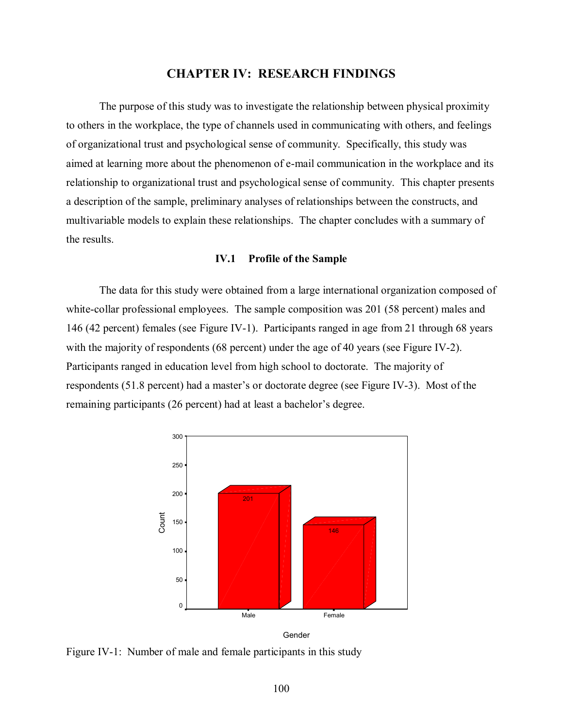## **CHAPTER IV: RESEARCH FINDINGS**

The purpose of this study was to investigate the relationship between physical proximity to others in the workplace, the type of channels used in communicating with others, and feelings of organizational trust and psychological sense of community. Specifically, this study was aimed at learning more about the phenomenon of e-mail communication in the workplace and its relationship to organizational trust and psychological sense of community. This chapter presents a description of the sample, preliminary analyses of relationships between the constructs, and multivariable models to explain these relationships. The chapter concludes with a summary of the results.

### **IV.1 Profile of the Sample**

 The data for this study were obtained from a large international organization composed of white-collar professional employees. The sample composition was 201 (58 percent) males and 146 (42 percent) females (see Figure IV-1). Participants ranged in age from 21 through 68 years with the majority of respondents (68 percent) under the age of 40 years (see Figure IV-2). Participants ranged in education level from high school to doctorate. The majority of respondents (51.8 percent) had a master's or doctorate degree (see Figure IV-3). Most of the remaining participants (26 percent) had at least a bachelor's degree.



Gender

Figure IV-1: Number of male and female participants in this study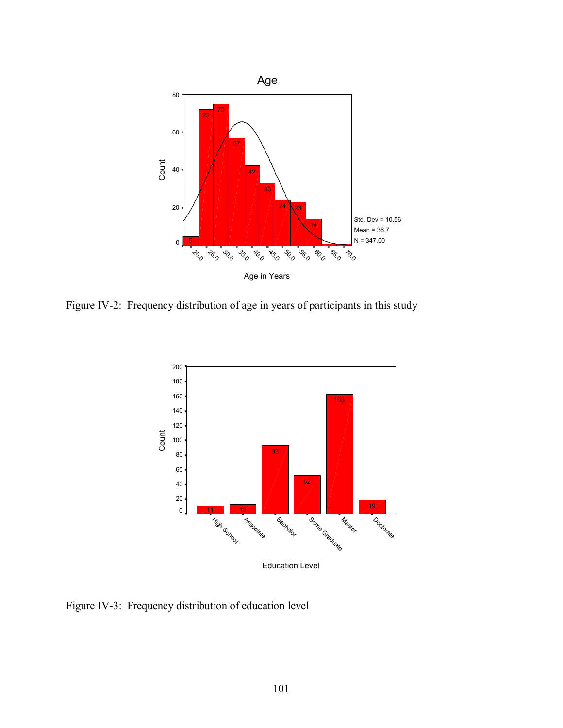

Figure IV-2: Frequency distribution of age in years of participants in this study



Figure IV-3: Frequency distribution of education level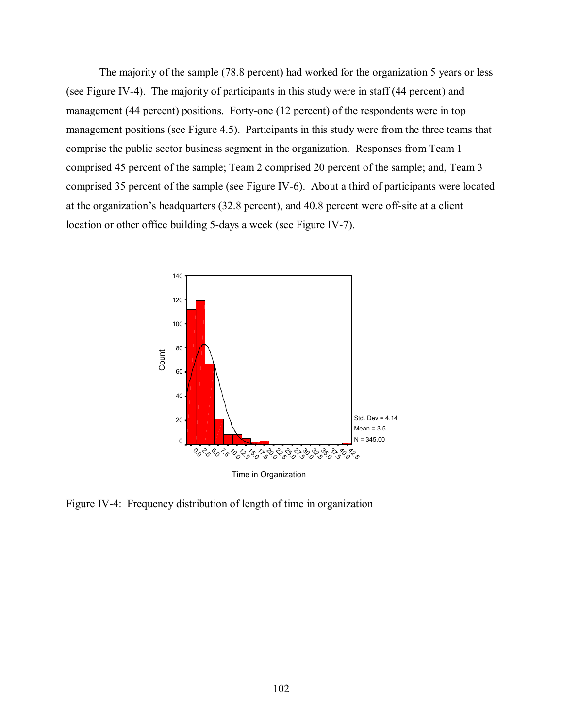The majority of the sample (78.8 percent) had worked for the organization 5 years or less (see Figure IV-4). The majority of participants in this study were in staff (44 percent) and management (44 percent) positions. Forty-one (12 percent) of the respondents were in top management positions (see Figure 4.5). Participants in this study were from the three teams that comprise the public sector business segment in the organization. Responses from Team 1 comprised 45 percent of the sample; Team 2 comprised 20 percent of the sample; and, Team 3 comprised 35 percent of the sample (see Figure IV-6). About a third of participants were located at the organization's headquarters (32.8 percent), and 40.8 percent were off-site at a client location or other office building 5-days a week (see Figure IV-7).



Figure IV-4: Frequency distribution of length of time in organization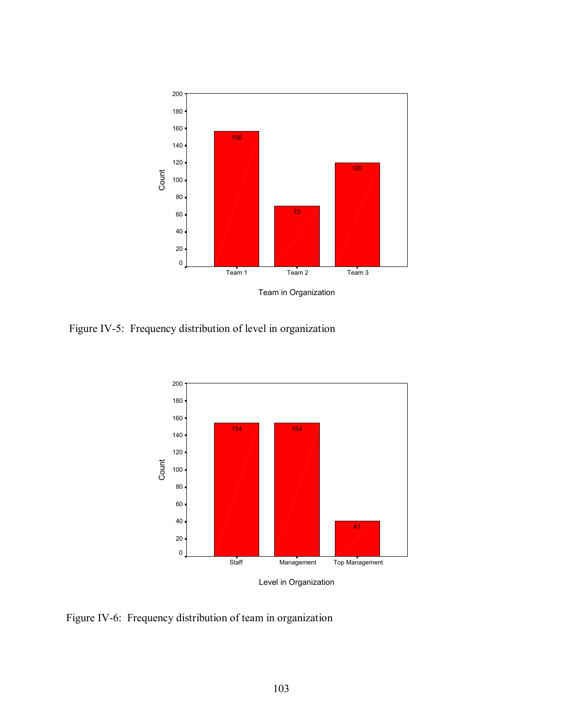

Figure IV-5: Frequency distribution of level in organization



Level in Organization

Figure IV-6: Frequency distribution of team in organization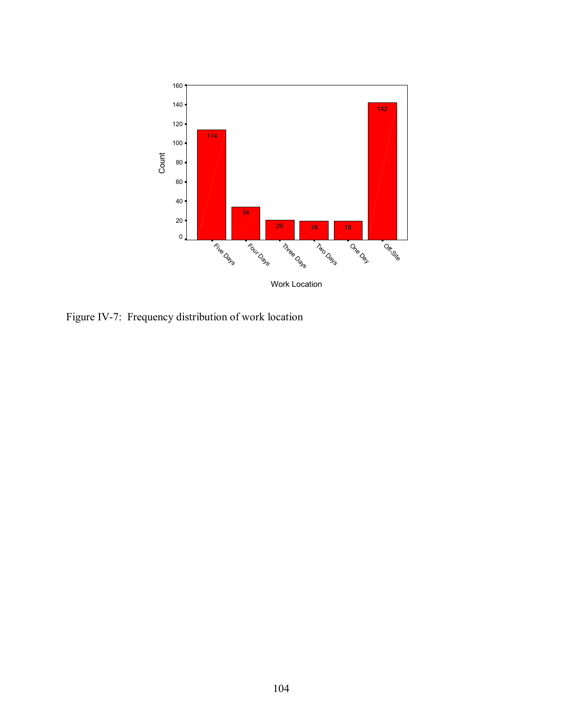

Figure IV-7: Frequency distribution of work location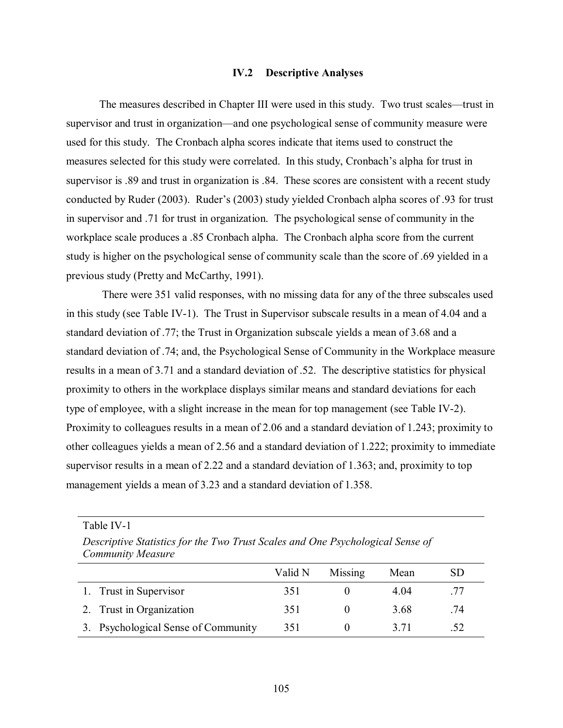#### **IV.2 Descriptive Analyses**

 The measures described in Chapter III were used in this study. Two trust scales—trust in supervisor and trust in organization—and one psychological sense of community measure were used for this study. The Cronbach alpha scores indicate that items used to construct the measures selected for this study were correlated. In this study, Cronbach's alpha for trust in supervisor is .89 and trust in organization is .84. These scores are consistent with a recent study conducted by Ruder (2003). Ruder's (2003) study yielded Cronbach alpha scores of .93 for trust in supervisor and .71 for trust in organization. The psychological sense of community in the workplace scale produces a .85 Cronbach alpha. The Cronbach alpha score from the current study is higher on the psychological sense of community scale than the score of .69 yielded in a previous study (Pretty and McCarthy, 1991).

 There were 351 valid responses, with no missing data for any of the three subscales used in this study (see Table IV-1). The Trust in Supervisor subscale results in a mean of 4.04 and a standard deviation of .77; the Trust in Organization subscale yields a mean of 3.68 and a standard deviation of .74; and, the Psychological Sense of Community in the Workplace measure results in a mean of 3.71 and a standard deviation of .52. The descriptive statistics for physical proximity to others in the workplace displays similar means and standard deviations for each type of employee, with a slight increase in the mean for top management (see Table IV-2). Proximity to colleagues results in a mean of 2.06 and a standard deviation of 1.243; proximity to other colleagues yields a mean of 2.56 and a standard deviation of 1.222; proximity to immediate supervisor results in a mean of 2.22 and a standard deviation of 1.363; and, proximity to top management yields a mean of 3.23 and a standard deviation of 1.358.

| <b>Community Measure</b>            |         |         |      |           |
|-------------------------------------|---------|---------|------|-----------|
|                                     | Valid N | Missing | Mean | <b>SD</b> |
| 1. Trust in Supervisor              | 351     |         | 4.04 | .77       |
| 2. Trust in Organization            | 351     |         | 3.68 | .74       |
| 3. Psychological Sense of Community | 351     |         | 3.71 | .52       |

*Descriptive Statistics for the Two Trust Scales and One Psychological Sense of* 

Table IV-1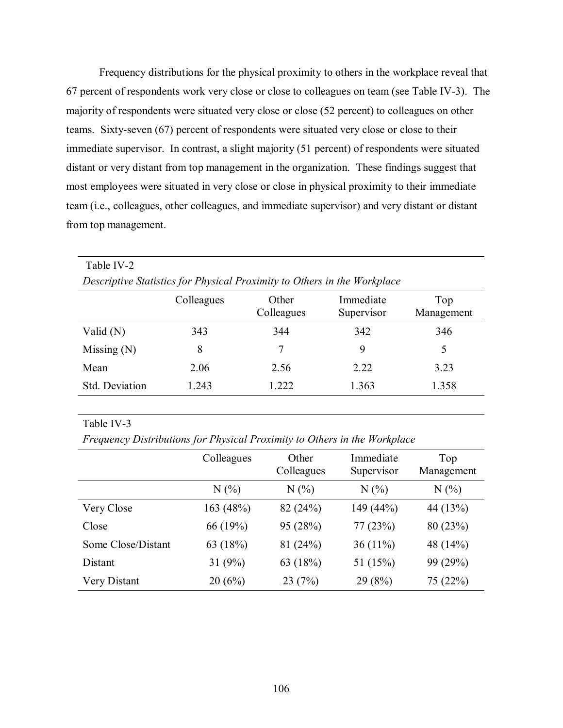Frequency distributions for the physical proximity to others in the workplace reveal that 67 percent of respondents work very close or close to colleagues on team (see Table IV-3). The majority of respondents were situated very close or close (52 percent) to colleagues on other teams. Sixty-seven (67) percent of respondents were situated very close or close to their immediate supervisor. In contrast, a slight majority (51 percent) of respondents were situated distant or very distant from top management in the organization. These findings suggest that most employees were situated in very close or close in physical proximity to their immediate team (i.e., colleagues, other colleagues, and immediate supervisor) and very distant or distant from top management.

| Table IV-2                                                               |            |                     |                         |                   |  |  |  |  |
|--------------------------------------------------------------------------|------------|---------------------|-------------------------|-------------------|--|--|--|--|
| Descriptive Statistics for Physical Proximity to Others in the Workplace |            |                     |                         |                   |  |  |  |  |
|                                                                          | Colleagues | Other<br>Colleagues | Immediate<br>Supervisor | Top<br>Management |  |  |  |  |
| Valid $(N)$                                                              | 343        | 344                 | 342                     | 346               |  |  |  |  |
| Missing $(N)$                                                            | 8          | 7                   | 9                       | 5                 |  |  |  |  |
| Mean                                                                     | 2.06       | 2.56                | 2.22                    | 3.23              |  |  |  |  |
| Std. Deviation                                                           | 1.243      | 1.222               | 1.363                   | 1.358             |  |  |  |  |

### Table IV-3

*Frequency Distributions for Physical Proximity to Others in the Workplace* 

|                    | Colleagues | Other<br>Colleagues | Immediate<br>Supervisor | Top<br>Management |
|--------------------|------------|---------------------|-------------------------|-------------------|
|                    | N(%        | N(%                 | N(%                     | N(%)              |
| Very Close         | 163 (48%)  | 82 (24%)            | 149 (44%)               | 44 (13%)          |
| Close              | 66 (19%)   | 95 (28%)            | 77(23%)                 | 80(23%)           |
| Some Close/Distant | 63 (18%)   | 81 (24%)            | 36 $(11\%)$             | 48 (14%)          |
| Distant            | 31 $(9%)$  | 63 $(18%)$          | 51 $(15%)$              | 99 (29%)          |
| Very Distant       | 20(6%)     | 23(7%)              | 29(8%)                  | 75 (22%)          |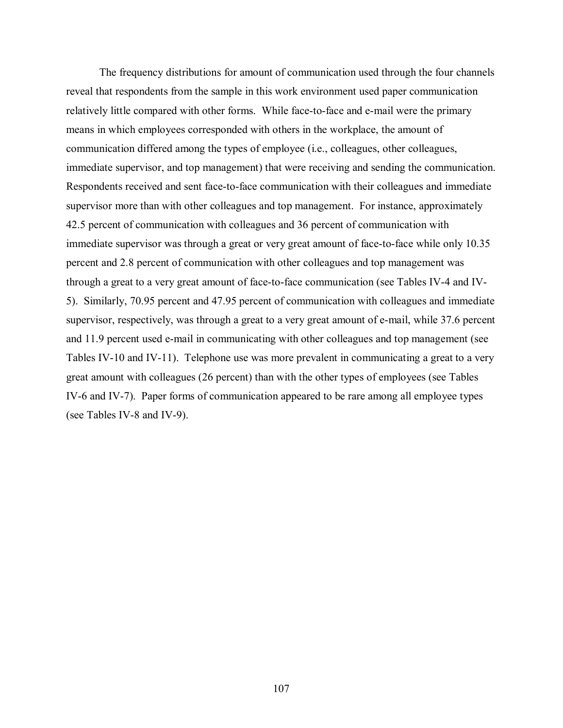The frequency distributions for amount of communication used through the four channels reveal that respondents from the sample in this work environment used paper communication relatively little compared with other forms. While face-to-face and e-mail were the primary means in which employees corresponded with others in the workplace, the amount of communication differed among the types of employee (i.e., colleagues, other colleagues, immediate supervisor, and top management) that were receiving and sending the communication. Respondents received and sent face-to-face communication with their colleagues and immediate supervisor more than with other colleagues and top management. For instance, approximately 42.5 percent of communication with colleagues and 36 percent of communication with immediate supervisor was through a great or very great amount of face-to-face while only 10.35 percent and 2.8 percent of communication with other colleagues and top management was through a great to a very great amount of face-to-face communication (see Tables IV-4 and IV-5). Similarly, 70.95 percent and 47.95 percent of communication with colleagues and immediate supervisor, respectively, was through a great to a very great amount of e-mail, while 37.6 percent and 11.9 percent used e-mail in communicating with other colleagues and top management (see Tables IV-10 and IV-11). Telephone use was more prevalent in communicating a great to a very great amount with colleagues (26 percent) than with the other types of employees (see Tables IV-6 and IV-7). Paper forms of communication appeared to be rare among all employee types (see Tables IV-8 and IV-9).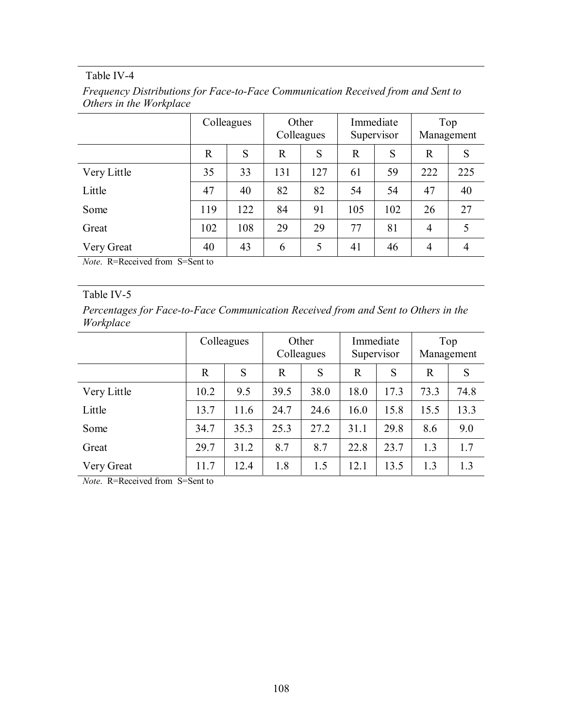|             | Colleagues |     | Other<br>Colleagues |     | Immediate<br>Supervisor |     | Top<br>Management |                |
|-------------|------------|-----|---------------------|-----|-------------------------|-----|-------------------|----------------|
|             | R          | S   | $\mathbf R$         | S   | R                       | S   | R                 | S              |
| Very Little | 35         | 33  | 131                 | 127 | 61                      | 59  | 222               | 225            |
| Little      | 47         | 40  | 82                  | 82  | 54                      | 54  | 47                | 40             |
| Some        | 119        | 122 | 84                  | 91  | 105                     | 102 | 26                | 27             |
| Great       | 102        | 108 | 29                  | 29  | 77                      | 81  | $\overline{4}$    | 5              |
| Very Great  | 40         | 43  | 6                   | 5   | 41                      | 46  | $\overline{4}$    | $\overline{4}$ |

*Frequency Distributions for Face-to-Face Communication Received from and Sent to Others in the Workplace* 

*Note*. R=Received from S=Sent to

### Table IV-5

*Percentages for Face-to-Face Communication Received from and Sent to Others in the Workplace* 

|             | Colleagues  |      | Other<br>Colleagues |      | Immediate<br>Supervisor |      | Top<br>Management |      |
|-------------|-------------|------|---------------------|------|-------------------------|------|-------------------|------|
|             | $\mathbf R$ | S    | $\mathbf R$         | S    | $\mathbb{R}$            | S    | $\mathbb{R}$      | S    |
| Very Little | 10.2        | 9.5  | 39.5                | 38.0 | 18.0                    | 17.3 | 73.3              | 74.8 |
| Little      | 13.7        | 11.6 | 24.7                | 24.6 | 16.0                    | 15.8 | 15.5              | 13.3 |
| Some        | 34.7        | 35.3 | 25.3                | 27.2 | 31.1                    | 29.8 | 8.6               | 9.0  |
| Great       | 29.7        | 31.2 | 8.7                 | 8.7  | 22.8                    | 23.7 | 1.3               | 1.7  |
| Very Great  | 11.7        | 12.4 | 1.8                 | 1.5  | 12.1                    | 13.5 | 1.3               | 1.3  |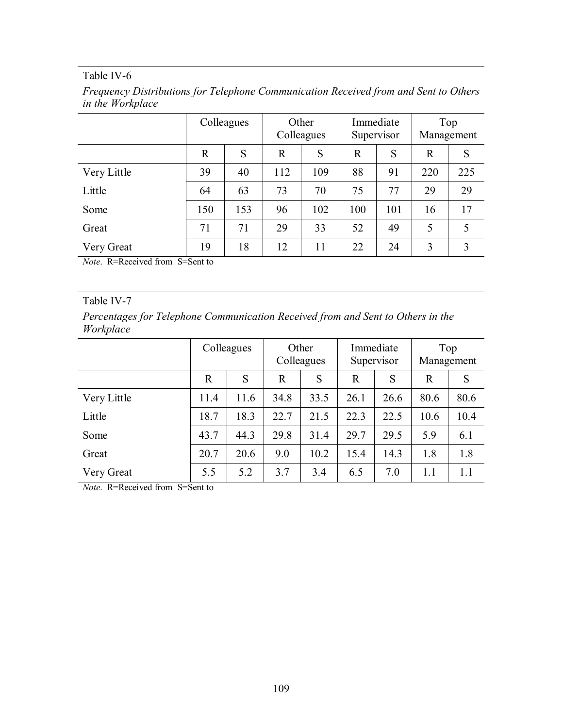| Frequency Distributions for Telephone Communication Received from and Sent to Others |  |  |
|--------------------------------------------------------------------------------------|--|--|
| <i>in the Workplace</i>                                                              |  |  |

|             | Colleagues |     | Other<br>Colleagues |     | Immediate<br>Supervisor |     | Top<br>Management |     |
|-------------|------------|-----|---------------------|-----|-------------------------|-----|-------------------|-----|
|             | R          | S   | $\mathbf R$         | S   | $\mathbf R$             | S   | $\mathbb{R}$      | S   |
| Very Little | 39         | 40  | 112                 | 109 | 88                      | 91  | 220               | 225 |
| Little      | 64         | 63  | 73                  | 70  | 75                      | 77  | 29                | 29  |
| Some        | 150        | 153 | 96                  | 102 | 100                     | 101 | 16                | 17  |
| Great       | 71         | 71  | 29                  | 33  | 52                      | 49  | 5                 | 5   |
| Very Great  | 19         | 18  | 12                  | 11  | 22                      | 24  | 3                 | 3   |

*Note*. R=Received from S=Sent to

## Table IV-7

*Percentages for Telephone Communication Received from and Sent to Others in the Workplace* 

|             | Colleagues |      | Other<br>Colleagues |      | Immediate<br>Supervisor |      | Top<br>Management |      |
|-------------|------------|------|---------------------|------|-------------------------|------|-------------------|------|
|             | R          | S    | $\mathbf R$         | S    | $\mathbf R$             | S    | $\mathbf R$       | S    |
| Very Little | 11.4       | 11.6 | 34.8                | 33.5 | 26.1                    | 26.6 | 80.6              | 80.6 |
| Little      | 18.7       | 18.3 | 22.7                | 21.5 | 22.3                    | 22.5 | 10.6              | 10.4 |
| Some        | 43.7       | 44.3 | 29.8                | 31.4 | 29.7                    | 29.5 | 5.9               | 6.1  |
| Great       | 20.7       | 20.6 | 9.0                 | 10.2 | 15.4                    | 14.3 | 1.8               | 1.8  |
| Very Great  | 5.5        | 5.2  | 3.7                 | 3.4  | 6.5                     | 7.0  | 1.1               | 1.1  |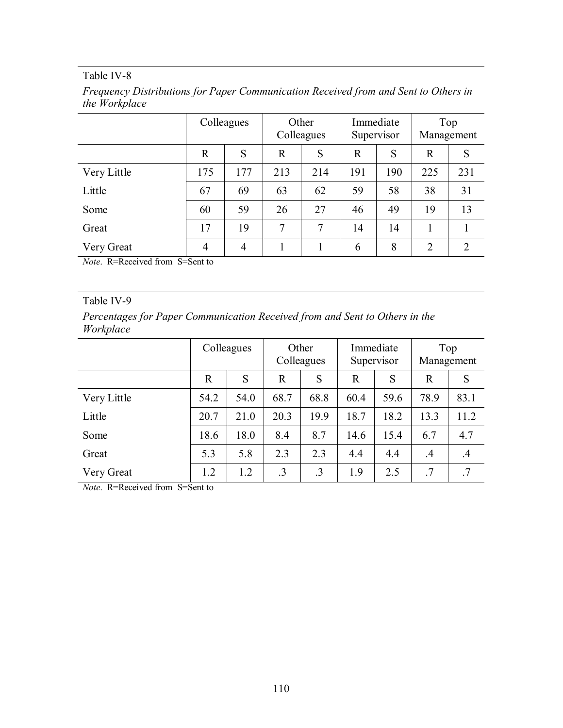| Frequency Distributions for Paper Communication Received from and Sent to Others in |  |  |
|-------------------------------------------------------------------------------------|--|--|
| the Workplace                                                                       |  |  |

|             | Colleagues     |                | Other<br>Colleagues |     | Immediate<br>Supervisor |     | Top<br>Management |     |
|-------------|----------------|----------------|---------------------|-----|-------------------------|-----|-------------------|-----|
|             | $\mathbb{R}$   | S              | $\mathbf R$         | S   | $\mathbb{R}$            | S   | $\mathbf R$       | S   |
| Very Little | 175            | 177            | 213                 | 214 | 191                     | 190 | 225               | 231 |
| Little      | 67             | 69             | 63                  | 62  | 59                      | 58  | 38                | 31  |
| Some        | 60             | 59             | 26                  | 27  | 46                      | 49  | 19                | 13  |
| Great       | 17             | 19             | 7                   | 7   | 14                      | 14  |                   |     |
| Very Great  | $\overline{4}$ | $\overline{4}$ |                     |     | 6                       | 8   | $\overline{2}$    | 2   |

*Note*. R=Received from S=Sent to

## Table IV-9

*Percentages for Paper Communication Received from and Sent to Others in the Workplace* 

|             | Colleagues |      | Other<br>Colleagues |           | Immediate<br>Supervisor |      | Top<br>Management |         |
|-------------|------------|------|---------------------|-----------|-------------------------|------|-------------------|---------|
|             | R          | S    | $\mathbf R$         | S         | R                       | S    | $\mathbf R$       | S       |
| Very Little | 54.2       | 54.0 | 68.7                | 68.8      | 60.4                    | 59.6 | 78.9              | 83.1    |
| Little      | 20.7       | 21.0 | 20.3                | 19.9      | 18.7                    | 18.2 | 13.3              | 11.2    |
| Some        | 18.6       | 18.0 | 8.4                 | 8.7       | 14.6                    | 15.4 | 6.7               | 4.7     |
| Great       | 5.3        | 5.8  | 2.3                 | 2.3       | 4.4                     | 4.4  | .4                | $\cdot$ |
| Very Great  | 1.2        | 1.2  | .3                  | $\cdot$ 3 | 1.9                     | 2.5  | .7                | .7      |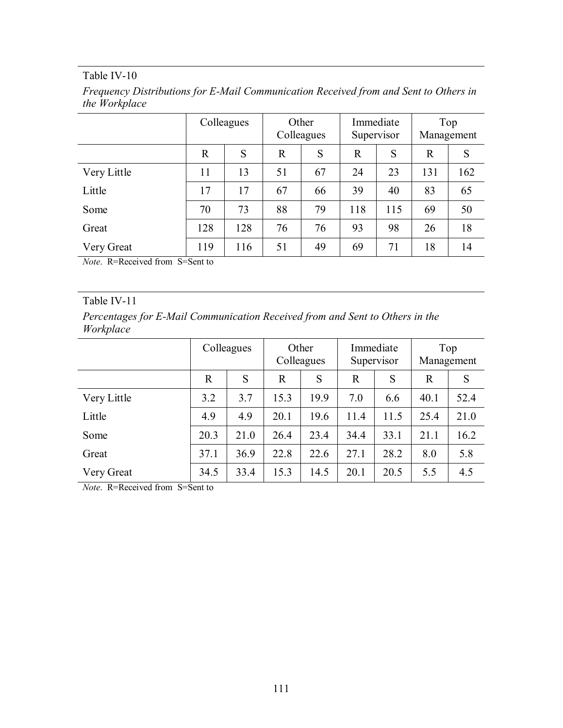| Frequency Distributions for E-Mail Communication Received from and Sent to Others in |  |  |
|--------------------------------------------------------------------------------------|--|--|
| the Workplace                                                                        |  |  |

|             | Colleagues  |     | Other<br>Colleagues |    | Immediate<br>Supervisor |     | Top<br>Management |     |
|-------------|-------------|-----|---------------------|----|-------------------------|-----|-------------------|-----|
|             | $\mathbf R$ | S   | $\mathbf R$         | S  | $\mathbf R$             | S   | $\overline{R}$    | S   |
| Very Little | 11          | 13  | 51                  | 67 | 24                      | 23  | 131               | 162 |
| Little      | 17          | 17  | 67                  | 66 | 39                      | 40  | 83                | 65  |
| Some        | 70          | 73  | 88                  | 79 | 118                     | 115 | 69                | 50  |
| Great       | 128         | 128 | 76                  | 76 | 93                      | 98  | 26                | 18  |
| Very Great  | 119         | 116 | 51                  | 49 | 69                      | 71  | 18                | 14  |

*Note*. R=Received from S=Sent to

## Table IV-11

*Percentages for E-Mail Communication Received from and Sent to Others in the Workplace* 

|             |      | Colleagues |              | Other<br>Colleagues |      | Immediate<br>Supervisor |             | Top<br>Management |
|-------------|------|------------|--------------|---------------------|------|-------------------------|-------------|-------------------|
|             | R    | S          | $\mathbb{R}$ | S                   | R    | S                       | $\mathbf R$ | S                 |
| Very Little | 3.2  | 3.7        | 15.3         | 19.9                | 7.0  | 6.6                     | 40.1        | 52.4              |
| Little      | 4.9  | 4.9        | 20.1         | 19.6                | 11.4 | 11.5                    | 25.4        | 21.0              |
| Some        | 20.3 | 21.0       | 26.4         | 23.4                | 34.4 | 33.1                    | 21.1        | 16.2              |
| Great       | 37.1 | 36.9       | 22.8         | 22.6                | 27.1 | 28.2                    | 8.0         | 5.8               |
| Very Great  | 34.5 | 33.4       | 15.3         | 14.5                | 20.1 | 20.5                    | 5.5         | 4.5               |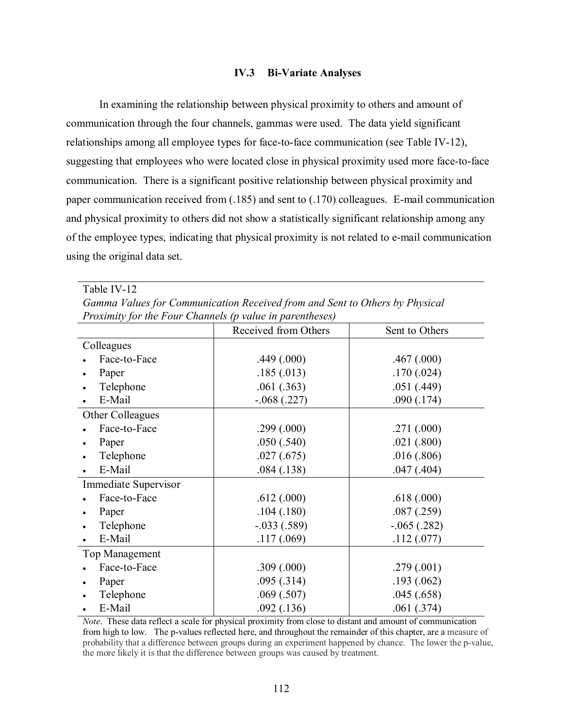#### **IV.3 Bi-Variate Analyses**

In examining the relationship between physical proximity to others and amount of communication through the four channels, gammas were used. The data yield significant relationships among all employee types for face-to-face communication (see Table IV-12), suggesting that employees who were located close in physical proximity used more face-to-face communication. There is a significant positive relationship between physical proximity and paper communication received from (.185) and sent to (.170) colleagues. E-mail communication and physical proximity to others did not show a statistically significant relationship among any of the employee types, indicating that physical proximity is not related to e-mail communication using the original data set.

Table IV-12

*Gamma Values for Communication Received from and Sent to Others by Physical Proximity for the Four Channels (p value in parentheses)* 

|                       | Received from Others | Sent to Others |
|-----------------------|----------------------|----------------|
| Colleagues            |                      |                |
| Face-to-Face          | .449(.000)           | .467(.000)     |
| Paper                 | .185(.013)           | .170(.024)     |
| Telephone             | .061(.363)           | .051(.449)     |
| E-Mail                | $-.068(.227)$        | .090(.174)     |
| Other Colleagues      |                      |                |
| Face-to-Face          | .299(.000)           | .271(.000)     |
| Paper                 | .050(.540)           | .021(.800)     |
| Telephone             | .027(.675)           | .016(.806)     |
| E-Mail                | .084(.138)           | .047(.404)     |
| Immediate Supervisor  |                      |                |
| Face-to-Face          | .612(.000)           | .618(.000)     |
| Paper                 | .104(.180)           | .087(.259)     |
| Telephone             | $-.033(.589)$        | $-.065(.282)$  |
| E-Mail                | .117(.069)           | .112(.077)     |
| <b>Top Management</b> |                      |                |
| Face-to-Face          | .309(.000)           | .279(.001)     |
| Paper                 | .095(.314)           | .193(.062)     |
| Telephone             | .069(.507)           | .045(.658)     |
| E-Mail                | .092(.136)           | .061(.374)     |

*Note*. These data reflect a scale for physical proximity from close to distant and amount of communication from high to low. The p-values reflected here, and throughout the remainder of this chapter, are a measure of probability that a difference between groups during an experiment happened by chance. The lower the p-value, the more likely it is that the difference between groups was caused by treatment.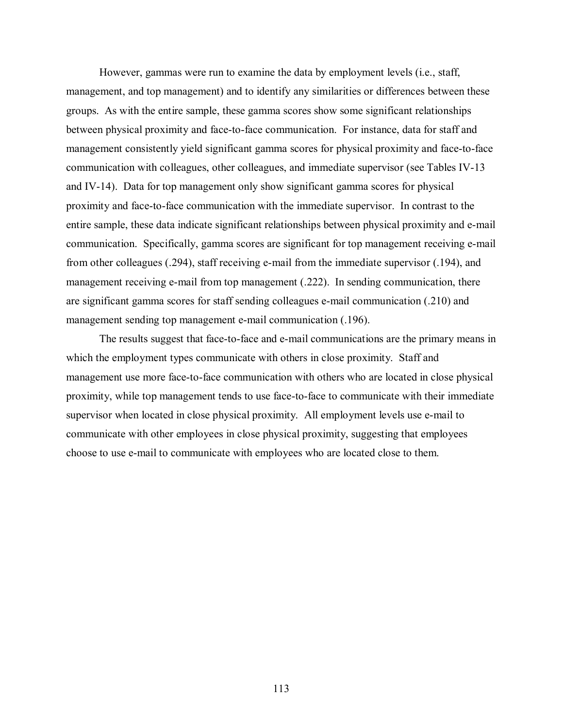However, gammas were run to examine the data by employment levels (i.e., staff, management, and top management) and to identify any similarities or differences between these groups. As with the entire sample, these gamma scores show some significant relationships between physical proximity and face-to-face communication. For instance, data for staff and management consistently yield significant gamma scores for physical proximity and face-to-face communication with colleagues, other colleagues, and immediate supervisor (see Tables IV-13 and IV-14). Data for top management only show significant gamma scores for physical proximity and face-to-face communication with the immediate supervisor. In contrast to the entire sample, these data indicate significant relationships between physical proximity and e-mail communication. Specifically, gamma scores are significant for top management receiving e-mail from other colleagues (.294), staff receiving e-mail from the immediate supervisor (.194), and management receiving e-mail from top management (.222). In sending communication, there are significant gamma scores for staff sending colleagues e-mail communication (.210) and management sending top management e-mail communication (.196).

The results suggest that face-to-face and e-mail communications are the primary means in which the employment types communicate with others in close proximity. Staff and management use more face-to-face communication with others who are located in close physical proximity, while top management tends to use face-to-face to communicate with their immediate supervisor when located in close physical proximity. All employment levels use e-mail to communicate with other employees in close physical proximity, suggesting that employees choose to use e-mail to communicate with employees who are located close to them.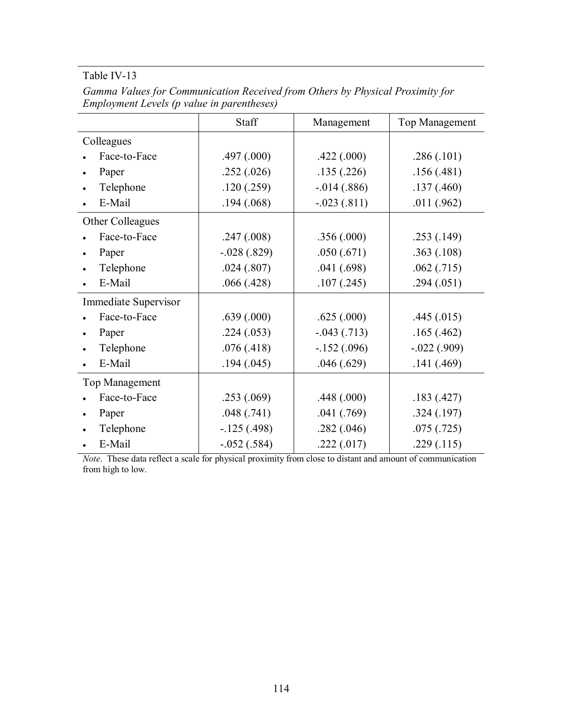|                      | Staff         | Management      | Top Management |
|----------------------|---------------|-----------------|----------------|
| Colleagues           |               |                 |                |
| Face-to-Face         | .497(.000)    | .422(.000)      | .286(.101)     |
| Paper                | .252(.026)    | .135(.226)      | .156(.481)     |
| Telephone            | .120(.259)    | $-0.014(0.886)$ | .137(.460)     |
| E-Mail               | .194(.068)    | $-.023(.811)$   | .011(.962)     |
| Other Colleagues     |               |                 |                |
| Face-to-Face         | .247(.008)    | .356(.000)      | .253(.149)     |
| Paper                | $-.028(.829)$ | .050(.671)      | .363(.108)     |
| Telephone            | .024(.807)    | .041(.698)      | .062(.715)     |
| E-Mail               | .066(.428)    | .107(.245)      | .294(.051)     |
| Immediate Supervisor |               |                 |                |
| Face-to-Face         | .639(.000)    | .625(.000)      | .445(.015)     |
| Paper                | .224(.053)    | $-.043(.713)$   | .165(.462)     |
| Telephone            | .076(.418)    | $-.152(.096)$   | $-.022(.909)$  |
| E-Mail               | .194(.045)    | .046(.629)      | .141(.469)     |
| Top Management       |               |                 |                |
| Face-to-Face         | .253(.069)    | .448(.000)      | .183(.427)     |
| Paper                | .048(.741)    | .041(.769)      | .324(.197)     |
| Telephone            | $-125(0.498)$ | .282(.046)      | .075(.725)     |
| E-Mail               | $-.052(.584)$ | .222(.017)      | .229(.115)     |

*Gamma Values for Communication Received from Others by Physical Proximity for Employment Levels (p value in parentheses)* 

*Note*. These data reflect a scale for physical proximity from close to distant and amount of communication from high to low.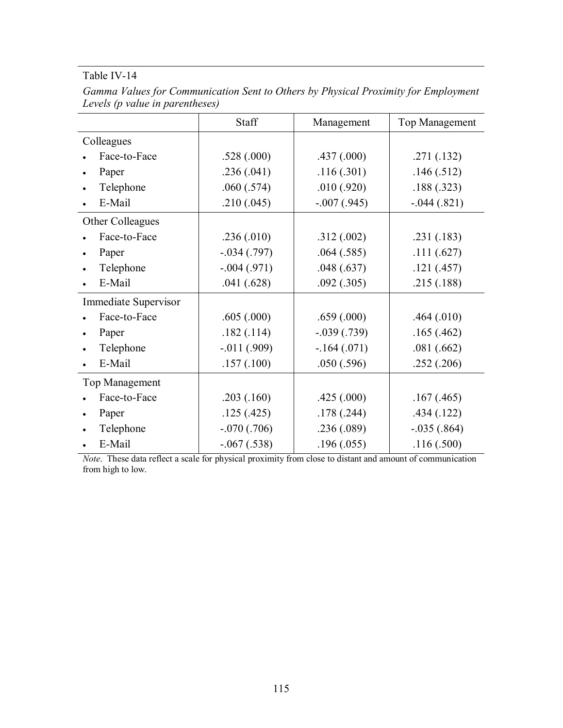|                       | Staff           | Management    | <b>Top Management</b> |  |
|-----------------------|-----------------|---------------|-----------------------|--|
| Colleagues            |                 |               |                       |  |
| Face-to-Face          | .528(.000)      | .437(.000)    | .271(.132)            |  |
| Paper                 | .236(.041)      | .116(.301)    | .146(.512)            |  |
| Telephone             | .060(.574)      | .010(.920)    | .188(.323)            |  |
| E-Mail                | .210(.045)      | $-.007(.945)$ | $-.044(.821)$         |  |
| Other Colleagues      |                 |               |                       |  |
| Face-to-Face          | .236(.010)      | .312(.002)    | .231(.183)            |  |
| Paper                 | $-.034(.797)$   | .064(.585)    | .111(.627)            |  |
| Telephone             | $-.004(.971)$   | .048(.637)    | .121(.457)            |  |
| E-Mail                | .041(.628)      | .092(.305)    | .215(.188)            |  |
| Immediate Supervisor  |                 |               |                       |  |
| Face-to-Face          | .605(.000)      | .659(.000)    | .464(.010)            |  |
| Paper                 | .182(.114)      | $-.039(.739)$ | .165(.462)            |  |
| Telephone             | $-0.011(0.909)$ | $-164(071)$   | .081(.662)            |  |
| E-Mail                | .157(.100)      | .050(.596)    | .252(.206)            |  |
| <b>Top Management</b> |                 |               |                       |  |
| Face-to-Face          | .203(.160)      | .425(.000)    | .167(.465)            |  |
| Paper<br>$\bullet$    | .125(.425)      | .178(.244)    | .434(.122)            |  |
| Telephone             | $-.070(.706)$   | .236(.089)    | $-.035(.864)$         |  |
| E-Mail                | $-.067(.538)$   | .196(.055)    | .116(.500)            |  |

*Gamma Values for Communication Sent to Others by Physical Proximity for Employment Levels (p value in parentheses)* 

*Note*. These data reflect a scale for physical proximity from close to distant and amount of communication from high to low.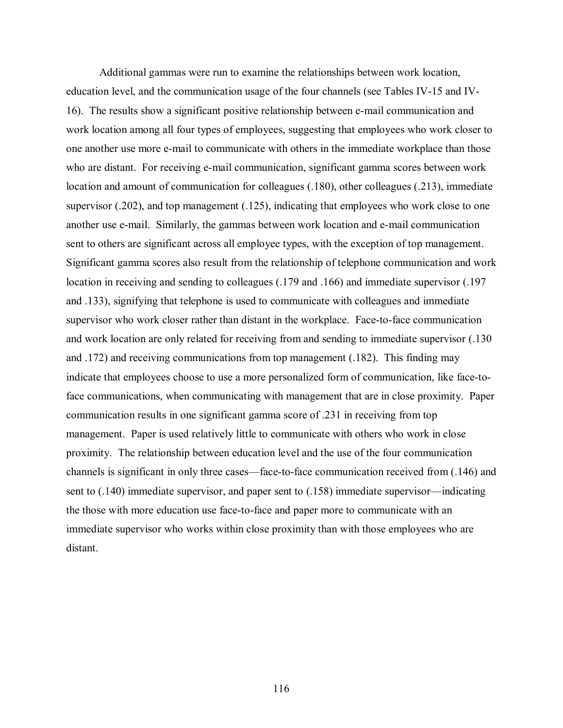Additional gammas were run to examine the relationships between work location, education level, and the communication usage of the four channels (see Tables IV-15 and IV-16). The results show a significant positive relationship between e-mail communication and work location among all four types of employees, suggesting that employees who work closer to one another use more e-mail to communicate with others in the immediate workplace than those who are distant. For receiving e-mail communication, significant gamma scores between work location and amount of communication for colleagues (.180), other colleagues (.213), immediate supervisor (.202), and top management (.125), indicating that employees who work close to one another use e-mail. Similarly, the gammas between work location and e-mail communication sent to others are significant across all employee types, with the exception of top management. Significant gamma scores also result from the relationship of telephone communication and work location in receiving and sending to colleagues (.179 and .166) and immediate supervisor (.197 and .133), signifying that telephone is used to communicate with colleagues and immediate supervisor who work closer rather than distant in the workplace. Face-to-face communication and work location are only related for receiving from and sending to immediate supervisor (.130 and .172) and receiving communications from top management (.182). This finding may indicate that employees choose to use a more personalized form of communication, like face-toface communications, when communicating with management that are in close proximity. Paper communication results in one significant gamma score of .231 in receiving from top management. Paper is used relatively little to communicate with others who work in close proximity. The relationship between education level and the use of the four communication channels is significant in only three cases—face-to-face communication received from (.146) and sent to (.140) immediate supervisor, and paper sent to (.158) immediate supervisor—indicating the those with more education use face-to-face and paper more to communicate with an immediate supervisor who works within close proximity than with those employees who are distant.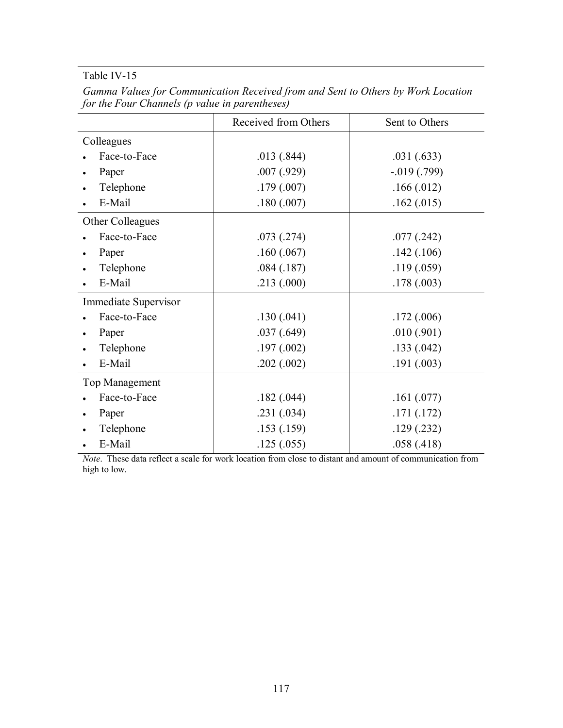|                      | Received from Others | Sent to Others  |
|----------------------|----------------------|-----------------|
| Colleagues           |                      |                 |
| Face-to-Face         | .013(.844)           | .031(.633)      |
| Paper                | .007(.929)           | $-0.019(0.799)$ |
| Telephone            | .179(.007)           | .166(.012)      |
| E-Mail               | .180(.007)           | .162(.015)      |
| Other Colleagues     |                      |                 |
| Face-to-Face         | .073(.274)           | .077(.242)      |
| Paper                | .160(.067)           | .142(.106)      |
| Telephone            | .084(.187)           | .119(.059)      |
| E-Mail               | .213(.000)           | .178(.003)      |
| Immediate Supervisor |                      |                 |
| Face-to-Face         | .130(.041)           | .172(.006)      |
| Paper                | .037(.649)           | .010(.901)      |
| Telephone            | .197(.002)           | .133(.042)      |
| E-Mail               | .202(.002)           | .191(.003)      |
| Top Management       |                      |                 |
| Face-to-Face         | .182(.044)           | .161(.077)      |
| Paper                | .231(.034)           | .171(.172)      |
| Telephone            | .153(.159)           | .129(.232)      |
| E-Mail               | .125(.055)           | .058(.418)      |

*Gamma Values for Communication Received from and Sent to Others by Work Location for the Four Channels (p value in parentheses)* 

*Note*. These data reflect a scale for work location from close to distant and amount of communication from high to low.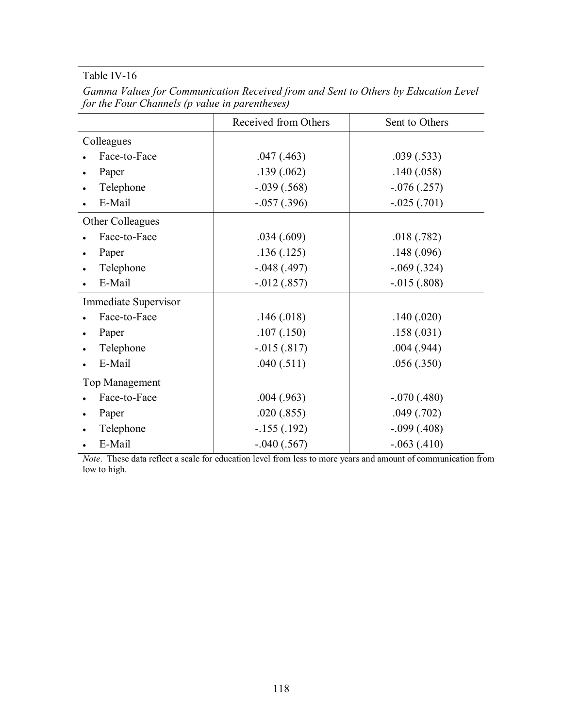|                             | Received from Others | Sent to Others    |
|-----------------------------|----------------------|-------------------|
| Colleagues                  |                      |                   |
| Face-to-Face                | .047(.463)           | .039(.533)        |
| Paper                       | .139(.062)           | .140(.058)        |
| Telephone                   | $-.039(.568)$        | $-0.076(0.257)$   |
| E-Mail                      | $-0.057(0.396)$      | $-.025(.701)$     |
| Other Colleagues            |                      |                   |
| Face-to-Face                | .034(.609)           | .018(.782)        |
| Paper                       | .136(.125)           | .148(.096)        |
| Telephone                   | $-.048(.497)$        | $-0.069$ $(.324)$ |
| E-Mail                      | $-0.012(0.857)$      | $-0.015(.808)$    |
| <b>Immediate Supervisor</b> |                      |                   |
| Face-to-Face                | .146(.018)           | .140(.020)        |
| Paper                       | .107(.150)           | .158(.031)        |
| Telephone                   | $-0.015(.817)$       | .004(.944)        |
| E-Mail                      | .040(.511)           | .056(.350)        |
| Top Management              |                      |                   |
| Face-to-Face                | .004(.963)           | $-.070(.480)$     |
| Paper                       | .020(.855)           | .049(.702)        |
| Telephone                   | $-155(0.192)$        | $-.099(.408)$     |
| E-Mail                      | $-.040(.567)$        | $-.063(.410)$     |

*Gamma Values for Communication Received from and Sent to Others by Education Level for the Four Channels (p value in parentheses)* 

*Note*. These data reflect a scale for education level from less to more years and amount of communication from low to high.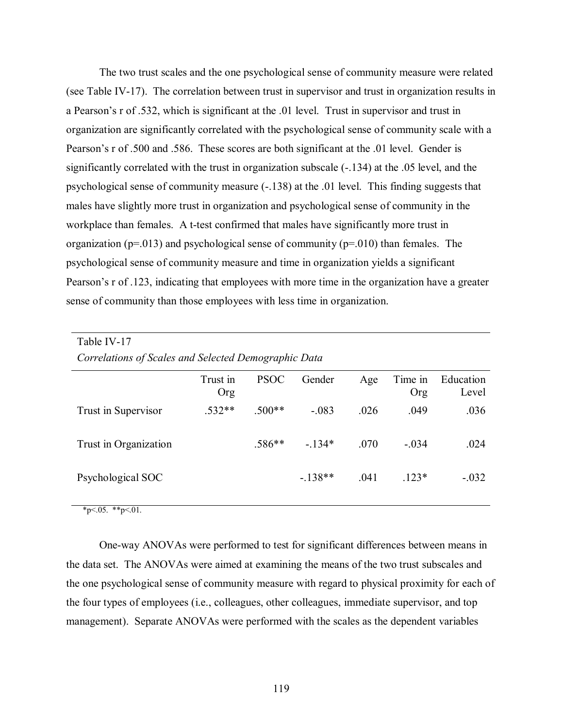The two trust scales and the one psychological sense of community measure were related (see Table IV-17). The correlation between trust in supervisor and trust in organization results in a Pearson's r of .532, which is significant at the .01 level. Trust in supervisor and trust in organization are significantly correlated with the psychological sense of community scale with a Pearson's r of .500 and .586. These scores are both significant at the .01 level. Gender is significantly correlated with the trust in organization subscale (-.134) at the .05 level, and the psychological sense of community measure (-.138) at the .01 level. This finding suggests that males have slightly more trust in organization and psychological sense of community in the workplace than females. A t-test confirmed that males have significantly more trust in organization ( $p=013$ ) and psychological sense of community ( $p=010$ ) than females. The psychological sense of community measure and time in organization yields a significant Pearson's r of .123, indicating that employees with more time in the organization have a greater sense of community than those employees with less time in organization.

| Table IV-17                                          |                        |             |          |      |                |                    |
|------------------------------------------------------|------------------------|-------------|----------|------|----------------|--------------------|
| Correlations of Scales and Selected Demographic Data |                        |             |          |      |                |                    |
|                                                      | Trust in<br><b>Org</b> | <b>PSOC</b> | Gender   | Age  | Time in<br>Org | Education<br>Level |
| Trust in Supervisor                                  | $.532**$               | $.500**$    | $-.083$  | .026 | .049           | .036               |
| Trust in Organization                                |                        | $.586**$    | $-134*$  | .070 | $-.034$        | .024               |
| Psychological SOC                                    |                        |             | $-138**$ | .041 | $.123*$        | $-.032$            |

 $*p<.05.$  \*\*p $<.01.$ 

One-way ANOVAs were performed to test for significant differences between means in the data set. The ANOVAs were aimed at examining the means of the two trust subscales and the one psychological sense of community measure with regard to physical proximity for each of the four types of employees (i.e., colleagues, other colleagues, immediate supervisor, and top management). Separate ANOVAs were performed with the scales as the dependent variables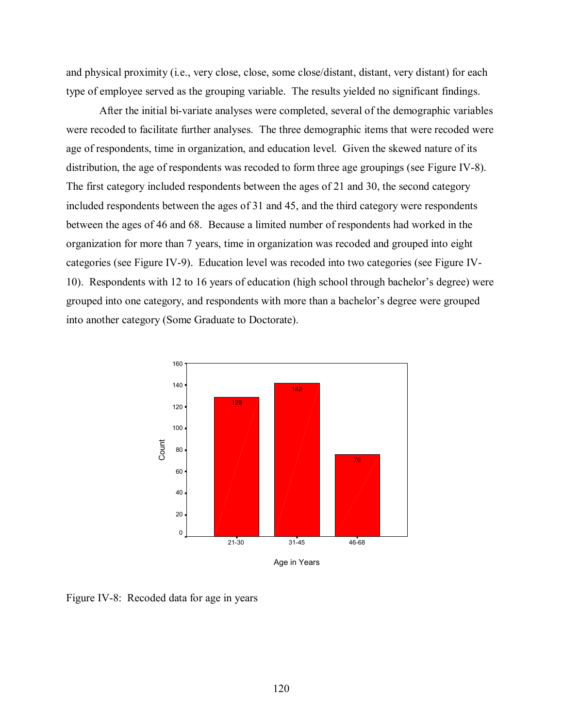and physical proximity (i.e., very close, close, some close/distant, distant, very distant) for each type of employee served as the grouping variable. The results yielded no significant findings.

After the initial bi-variate analyses were completed, several of the demographic variables were recoded to facilitate further analyses. The three demographic items that were recoded were age of respondents, time in organization, and education level. Given the skewed nature of its distribution, the age of respondents was recoded to form three age groupings (see Figure IV-8). The first category included respondents between the ages of 21 and 30, the second category included respondents between the ages of 31 and 45, and the third category were respondents between the ages of 46 and 68. Because a limited number of respondents had worked in the organization for more than 7 years, time in organization was recoded and grouped into eight categories (see Figure IV-9). Education level was recoded into two categories (see Figure IV-10). Respondents with 12 to 16 years of education (high school through bachelor's degree) were grouped into one category, and respondents with more than a bachelor's degree were grouped into another category (Some Graduate to Doctorate).



Age in Years

Figure IV-8: Recoded data for age in years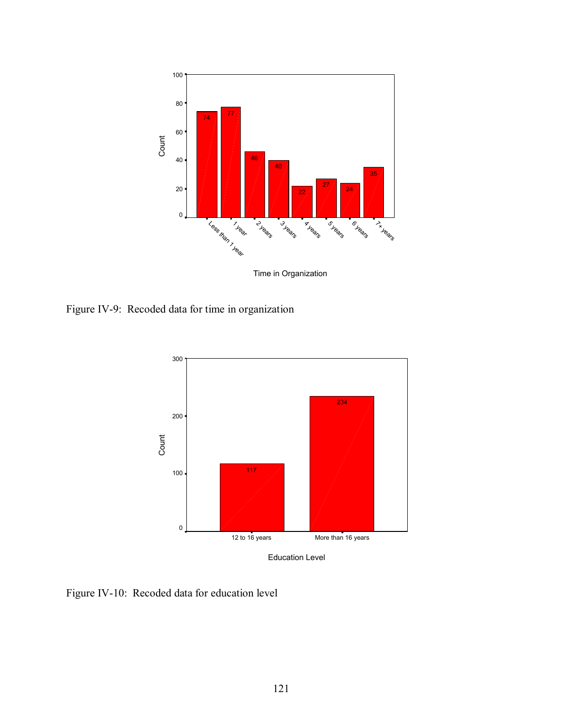

Time in Organization

Figure IV-9: Recoded data for time in organization



Figure IV-10: Recoded data for education level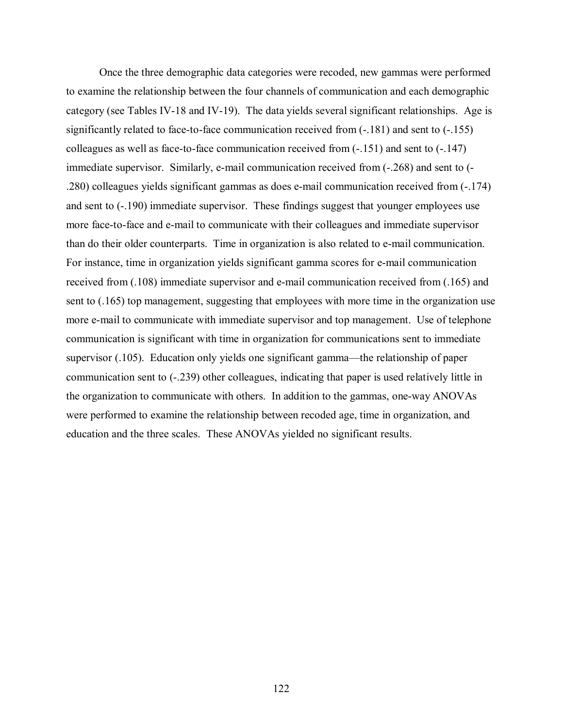Once the three demographic data categories were recoded, new gammas were performed to examine the relationship between the four channels of communication and each demographic category (see Tables IV-18 and IV-19). The data yields several significant relationships. Age is significantly related to face-to-face communication received from (-.181) and sent to (-.155) colleagues as well as face-to-face communication received from (-.151) and sent to (-.147) immediate supervisor. Similarly, e-mail communication received from (-.268) and sent to (- .280) colleagues yields significant gammas as does e-mail communication received from (-.174) and sent to (-.190) immediate supervisor. These findings suggest that younger employees use more face-to-face and e-mail to communicate with their colleagues and immediate supervisor than do their older counterparts. Time in organization is also related to e-mail communication. For instance, time in organization yields significant gamma scores for e-mail communication received from (.108) immediate supervisor and e-mail communication received from (.165) and sent to (.165) top management, suggesting that employees with more time in the organization use more e-mail to communicate with immediate supervisor and top management. Use of telephone communication is significant with time in organization for communications sent to immediate supervisor (.105). Education only yields one significant gamma—the relationship of paper communication sent to (-.239) other colleagues, indicating that paper is used relatively little in the organization to communicate with others. In addition to the gammas, one-way ANOVAs were performed to examine the relationship between recoded age, time in organization, and education and the three scales. These ANOVAs yielded no significant results.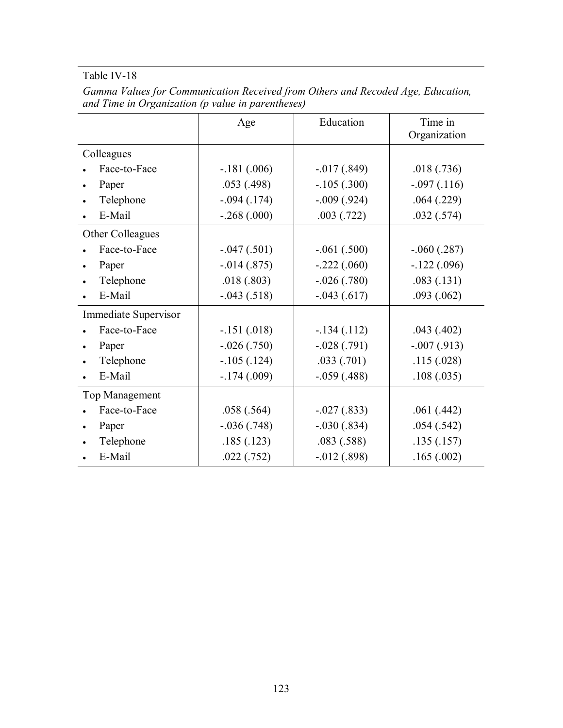|                      | Age             | Education       | Time in<br>Organization |
|----------------------|-----------------|-----------------|-------------------------|
| Colleagues           |                 |                 |                         |
| Face-to-Face         | $-.181(.006)$   | $-0.017(0.849)$ | .018(.736)              |
| Paper                | .053(.498)      | $-.105(.300)$   | $-.097(.116)$           |
| Telephone            | $-.094(.174)$   | $-.009(.924)$   | .064(.229)              |
| E-Mail               | $-.268(.000)$   | .003(.722)      | .032(.574)              |
| Other Colleagues     |                 |                 |                         |
| Face-to-Face         | $-.047(.501)$   | $-.061(.500)$   | $-.060(.287)$           |
| Paper<br>$\bullet$   | $-0.014(0.875)$ | $-.222(.060)$   | $-.122(.096)$           |
| Telephone            | .018(.803)      | $-.026(.780)$   | .083(.131)              |
| E-Mail               | $-.043(.518)$   | $-.043(.617)$   | .093(.062)              |
| Immediate Supervisor |                 |                 |                         |
| Face-to-Face         | $-.151(.018)$   | $-.134(.112)$   | .043(.402)              |
| Paper                | $-.026(.750)$   | $-.028(.791)$   | $-.007(.913)$           |
| Telephone            | $-.105(.124)$   | .033(.701)      | .115(.028)              |
| E-Mail               | $-174(009)$     | $-.059(.488)$   | .108(.035)              |
| Top Management       |                 |                 |                         |
| Face-to-Face         | .058(.564)      | $-.027(.833)$   | .061(.442)              |
| Paper                | $-.036(.748)$   | $-.030(.834)$   | .054(.542)              |
| Telephone            | .185(.123)      | .083(.588)      | .135(.157)              |
| E-Mail               | .022(.752)      | $-0.012(0.898)$ | .165(.002)              |

*Gamma Values for Communication Received from Others and Recoded Age, Education, and Time in Organization (p value in parentheses)*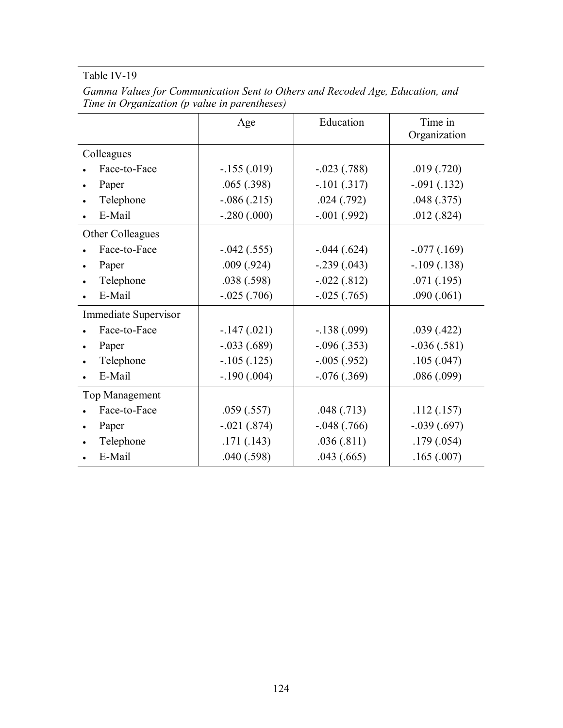|                      | Age           | Education       | Time in<br>Organization |
|----------------------|---------------|-----------------|-------------------------|
| Colleagues           |               |                 |                         |
| Face-to-Face         | $-155(019)$   | $-.023(.788)$   | .019(.720)              |
| Paper                | .065(.398)    | $-.101(.317)$   | $-.091(.132)$           |
| Telephone            | $-.086(.215)$ | .024(.792)      | .048(.375)              |
| E-Mail               | $-.280(.000)$ | $-.001(.992)$   | .012(.824)              |
| Other Colleagues     |               |                 |                         |
| Face-to-Face         | $-.042(.555)$ | $-.044(.624)$   | $-.077(.169)$           |
| Paper                | .009(.924)    | $-.239(.043)$   | $-.109(.138)$           |
| Telephone            | .038(.598)    | $-.022(.812)$   | .071(.195)              |
| E-Mail               | $-.025(.706)$ | $-.025(.765)$   | .090(.061)              |
| Immediate Supervisor |               |                 |                         |
| Face-to-Face         | $-147(.021)$  | $-.138(.099)$   | .039(.422)              |
| Paper                | $-.033(.689)$ | $-.096(.353)$   | $-.036(.581)$           |
| Telephone            | $-.105(.125)$ | $-.005(.952)$   | .105(.047)              |
| E-Mail               | $-.190(.004)$ | $-0.076(0.369)$ | .086(.099)              |
| Top Management       |               |                 |                         |
| Face-to-Face         | .059(.557)    | .048(.713)      | .112(.157)              |
| Paper                | $-.021(.874)$ | $-.048(.766)$   | $-.039(.697)$           |
| Telephone            | .171(.143)    | .036(.811)      | .179(.054)              |
| E-Mail               | .040(.598)    | .043(.665)      | .165(.007)              |

*Gamma Values for Communication Sent to Others and Recoded Age, Education, and Time in Organization (p value in parentheses)*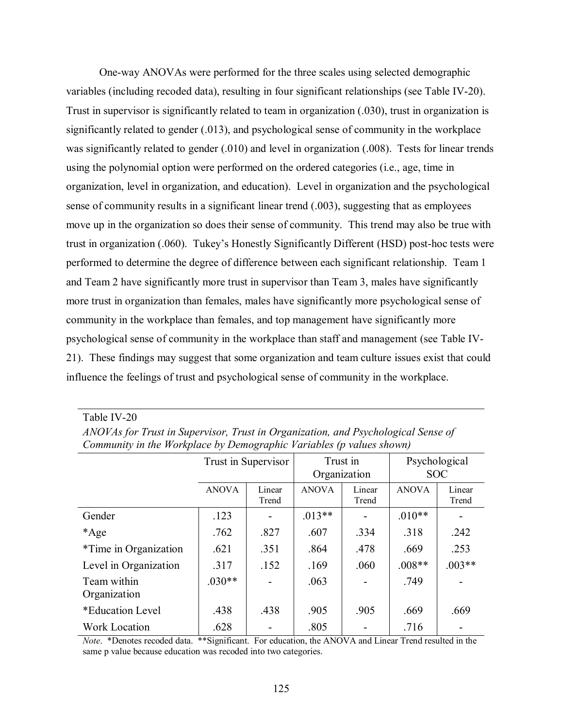One-way ANOVAs were performed for the three scales using selected demographic variables (including recoded data), resulting in four significant relationships (see Table IV-20). Trust in supervisor is significantly related to team in organization (.030), trust in organization is significantly related to gender (.013), and psychological sense of community in the workplace was significantly related to gender (.010) and level in organization (.008). Tests for linear trends using the polynomial option were performed on the ordered categories (i.e., age, time in organization, level in organization, and education). Level in organization and the psychological sense of community results in a significant linear trend (.003), suggesting that as employees move up in the organization so does their sense of community. This trend may also be true with trust in organization (.060). Tukey's Honestly Significantly Different (HSD) post-hoc tests were performed to determine the degree of difference between each significant relationship. Team 1 and Team 2 have significantly more trust in supervisor than Team 3, males have significantly more trust in organization than females, males have significantly more psychological sense of community in the workplace than females, and top management have significantly more psychological sense of community in the workplace than staff and management (see Table IV-21). These findings may suggest that some organization and team culture issues exist that could influence the feelings of trust and psychological sense of community in the workplace.

| Community in the Workplace by Demographic Variables (p values shown) |                     |                 |                          |                 |                             |                 |
|----------------------------------------------------------------------|---------------------|-----------------|--------------------------|-----------------|-----------------------------|-----------------|
|                                                                      | Trust in Supervisor |                 | Trust in<br>Organization |                 | Psychological<br><b>SOC</b> |                 |
|                                                                      | <b>ANOVA</b>        | Linear<br>Trend | <b>ANOVA</b>             | Linear<br>Trend | <b>ANOVA</b>                | Linear<br>Trend |
| Gender                                                               | .123                |                 | $.013**$                 |                 | $.010**$                    |                 |
| *Age                                                                 | .762                | .827            | .607                     | .334            | .318                        | .242            |
| <i>*Time in Organization</i>                                         | .621                | .351            | .864                     | .478            | .669                        | .253            |
| Level in Organization                                                | .317                | .152            | .169                     | .060            | $.008**$                    | $.003**$        |
| Team within<br>Organization                                          | $.030**$            |                 | .063                     |                 | .749                        |                 |
| *Education Level                                                     | .438                | .438            | .905                     | .905            | .669                        | .669            |
| <b>Work Location</b>                                                 | .628                |                 | .805                     |                 | .716                        |                 |

*ANOVAs for Trust in Supervisor, Trust in Organization, and Psychological Sense of Community in the Workplace by Demographic Variables (p values shown)* 

Table IV-20

*Note*. \*Denotes recoded data. \*\*Significant. For education, the ANOVA and Linear Trend resulted in the same p value because education was recoded into two categories.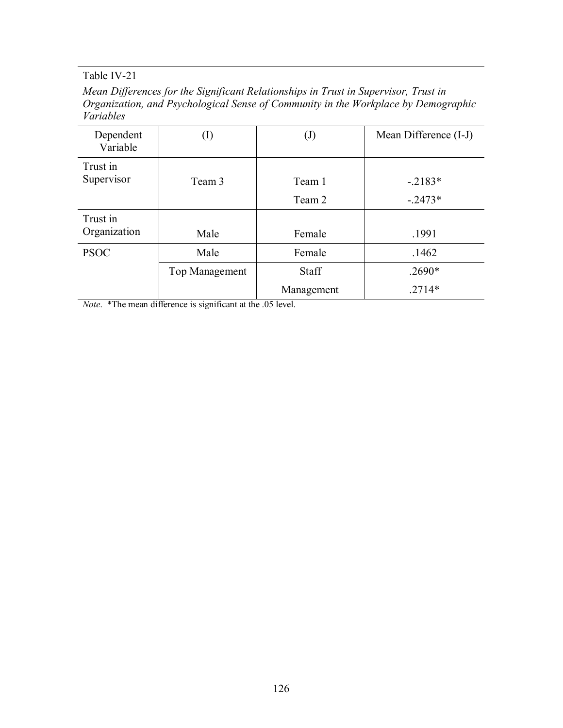*Mean Differences for the Significant Relationships in Trust in Supervisor, Trust in Organization, and Psychological Sense of Community in the Workplace by Demographic Variables* 

| Dependent<br>Variable    | (I)            | $\mathrm{(J)}$   | Mean Difference (I-J) |
|--------------------------|----------------|------------------|-----------------------|
| Trust in<br>Supervisor   | Team 3         | Team 1<br>Team 2 | $-2183*$<br>$-.2473*$ |
| Trust in<br>Organization | Male           | Female           | .1991                 |
| <b>PSOC</b>              | Male           | Female           | .1462                 |
|                          | Top Management | <b>Staff</b>     | $.2690*$              |
|                          |                | Management       | $.2714*$              |

*Note.* \*The mean difference is significant at the .05 level.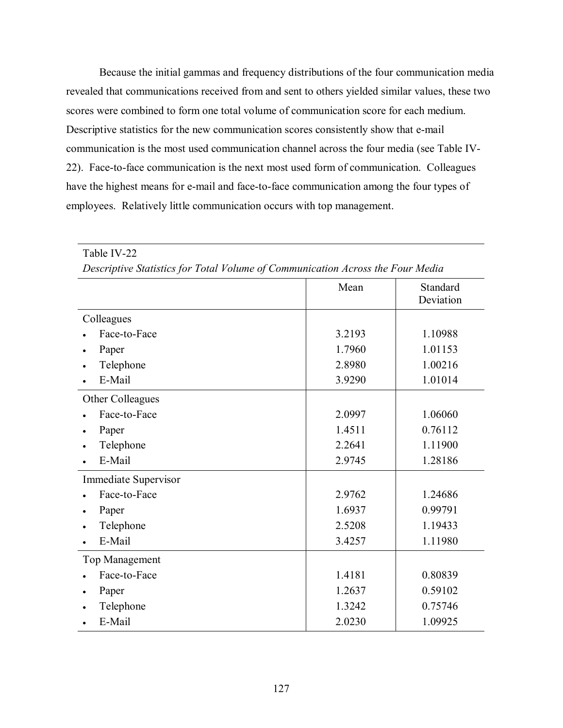Because the initial gammas and frequency distributions of the four communication media revealed that communications received from and sent to others yielded similar values, these two scores were combined to form one total volume of communication score for each medium. Descriptive statistics for the new communication scores consistently show that e-mail communication is the most used communication channel across the four media (see Table IV-22). Face-to-face communication is the next most used form of communication. Colleagues have the highest means for e-mail and face-to-face communication among the four types of employees. Relatively little communication occurs with top management.

| Descriptive Statistics for Total Volume of Communication Across the Four Media |        |                       |  |
|--------------------------------------------------------------------------------|--------|-----------------------|--|
|                                                                                | Mean   | Standard<br>Deviation |  |
| Colleagues                                                                     |        |                       |  |
| Face-to-Face                                                                   | 3.2193 | 1.10988               |  |
| Paper                                                                          | 1.7960 | 1.01153               |  |
| Telephone                                                                      | 2.8980 | 1.00216               |  |
| E-Mail                                                                         | 3.9290 | 1.01014               |  |
| Other Colleagues                                                               |        |                       |  |
| Face-to-Face                                                                   | 2.0997 | 1.06060               |  |
| Paper                                                                          | 1.4511 | 0.76112               |  |
| Telephone                                                                      | 2.2641 | 1.11900               |  |
| E-Mail                                                                         | 2.9745 | 1.28186               |  |
| Immediate Supervisor                                                           |        |                       |  |
| Face-to-Face                                                                   | 2.9762 | 1.24686               |  |
| Paper                                                                          | 1.6937 | 0.99791               |  |
| Telephone                                                                      | 2.5208 | 1.19433               |  |
| E-Mail                                                                         | 3.4257 | 1.11980               |  |
| Top Management                                                                 |        |                       |  |
| Face-to-Face                                                                   | 1.4181 | 0.80839               |  |
| Paper                                                                          | 1.2637 | 0.59102               |  |
| Telephone                                                                      | 1.3242 | 0.75746               |  |
| E-Mail                                                                         | 2.0230 | 1.09925               |  |

*Descriptive Statistics for Total Volume of Communication Across the Four Media* 

Table IV-22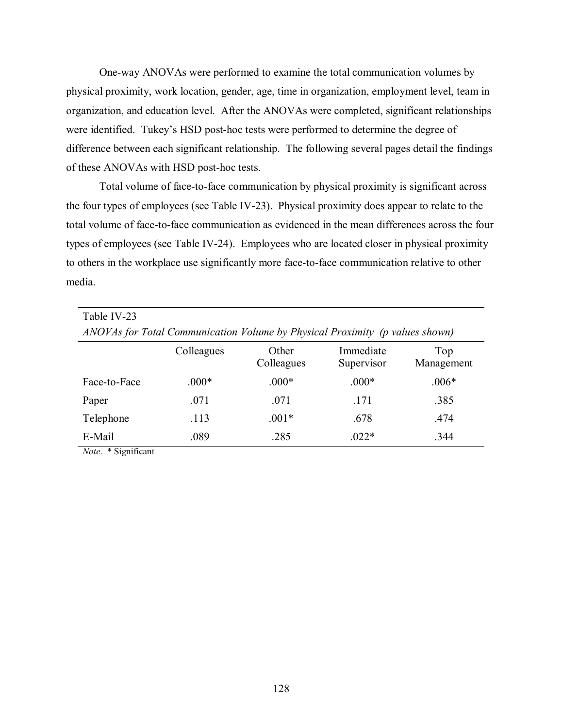One-way ANOVAs were performed to examine the total communication volumes by physical proximity, work location, gender, age, time in organization, employment level, team in organization, and education level. After the ANOVAs were completed, significant relationships were identified. Tukey's HSD post-hoc tests were performed to determine the degree of difference between each significant relationship. The following several pages detail the findings of these ANOVAs with HSD post-hoc tests.

Total volume of face-to-face communication by physical proximity is significant across the four types of employees (see Table IV-23). Physical proximity does appear to relate to the total volume of face-to-face communication as evidenced in the mean differences across the four types of employees (see Table IV-24). Employees who are located closer in physical proximity to others in the workplace use significantly more face-to-face communication relative to other media.

| Table IV-23<br>ANOVAs for Total Communication Volume by Physical Proximity (p values shown) |            |                     |                         |                   |  |
|---------------------------------------------------------------------------------------------|------------|---------------------|-------------------------|-------------------|--|
|                                                                                             | Colleagues | Other<br>Colleagues | Immediate<br>Supervisor | Top<br>Management |  |
| Face-to-Face                                                                                | $.000*$    | $.000*$             | $.000*$                 | $.006*$           |  |
| Paper                                                                                       | .071       | .071                | .171                    | .385              |  |
| Telephone                                                                                   | .113       | $.001*$             | .678                    | .474              |  |
| E-Mail                                                                                      | .089       | .285                | $.022*$                 | .344              |  |

*Note*. \* Significant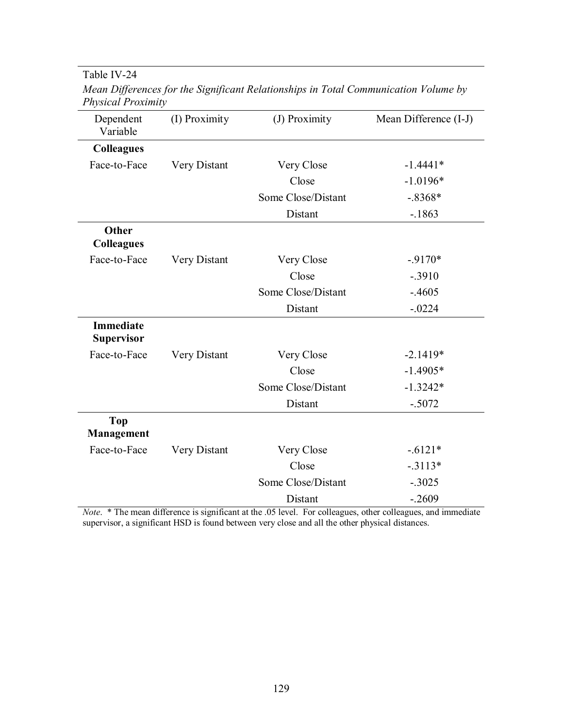Table IV-24

| Dependent<br>Variable          | (I) Proximity | (J) Proximity      | Mean Difference (I-J) |
|--------------------------------|---------------|--------------------|-----------------------|
| <b>Colleagues</b>              |               |                    |                       |
| Face-to-Face                   | Very Distant  | Very Close         | $-1.4441*$            |
|                                |               | Close              | $-1.0196*$            |
|                                |               | Some Close/Distant | $-.8368*$             |
|                                |               | Distant            | $-1863$               |
| Other<br><b>Colleagues</b>     |               |                    |                       |
| Face-to-Face                   | Very Distant  | Very Close         | $-9170*$              |
|                                |               | Close              | $-.3910$              |
|                                |               | Some Close/Distant | $-.4605$              |
|                                |               | Distant            | $-.0224$              |
| <b>Immediate</b><br>Supervisor |               |                    |                       |
| Face-to-Face                   | Very Distant  | Very Close         | $-2.1419*$            |
|                                |               | Close              | $-1.4905*$            |
|                                |               | Some Close/Distant | $-1.3242*$            |
|                                |               | Distant            | $-.5072$              |
| <b>Top</b><br>Management       |               |                    |                       |
| Face-to-Face                   | Very Distant  | Very Close         | $-.6121*$             |
|                                |               | Close              | $-.3113*$             |
|                                |               | Some Close/Distant | $-.3025$              |
|                                |               | Distant            | $-.2609$              |

*Mean Differences for the Significant Relationships in Total Communication Volume by Physical Proximity* 

*Note*. \* The mean difference is significant at the .05 level. For colleagues, other colleagues, and immediate supervisor, a significant HSD is found between very close and all the other physical distances.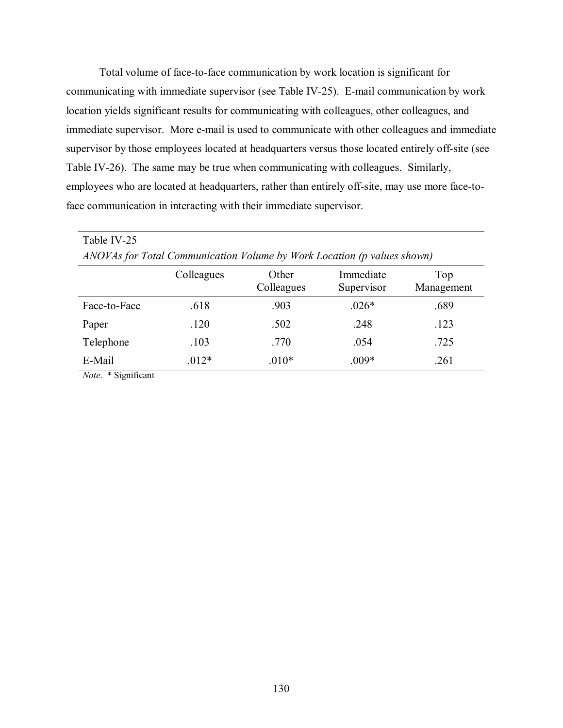Total volume of face-to-face communication by work location is significant for communicating with immediate supervisor (see Table IV-25). E-mail communication by work location yields significant results for communicating with colleagues, other colleagues, and immediate supervisor. More e-mail is used to communicate with other colleagues and immediate supervisor by those employees located at headquarters versus those located entirely off-site (see Table IV-26). The same may be true when communicating with colleagues. Similarly, employees who are located at headquarters, rather than entirely off-site, may use more face-toface communication in interacting with their immediate supervisor.

| Table IV-25  |                                                                         |                     |                         |                   |
|--------------|-------------------------------------------------------------------------|---------------------|-------------------------|-------------------|
|              | ANOVAs for Total Communication Volume by Work Location (p values shown) |                     |                         |                   |
|              | Colleagues                                                              | Other<br>Colleagues | Immediate<br>Supervisor | Top<br>Management |
| Face-to-Face | .618                                                                    | .903                | $.026*$                 | .689              |
| Paper        | .120                                                                    | .502                | .248                    | .123              |
| Telephone    | .103                                                                    | .770                | .054                    | .725              |
| E-Mail       | $.012*$                                                                 | $.010*$             | $.009*$                 | .261              |

*Note*. \* Significant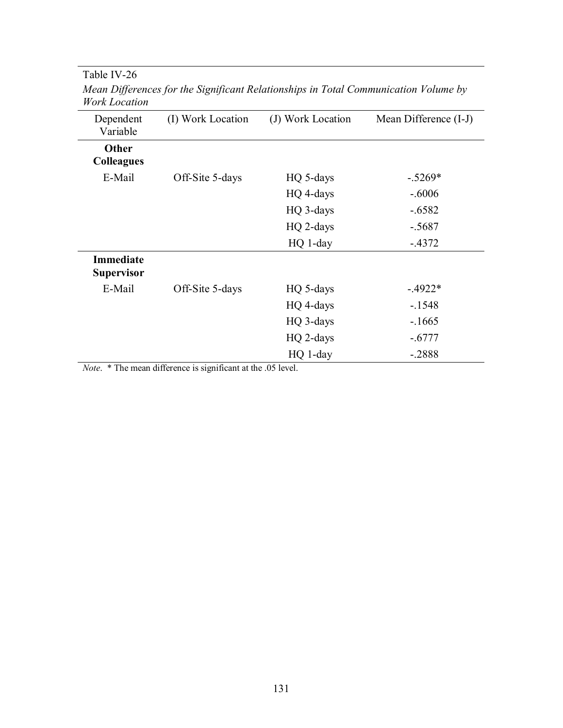| Dependent<br>Variable                 | (I) Work Location | (J) Work Location | Mean Difference (I-J) |
|---------------------------------------|-------------------|-------------------|-----------------------|
| Other<br><b>Colleagues</b>            |                   |                   |                       |
| E-Mail                                | Off-Site 5-days   | HQ 5-days         | $-.5269*$             |
|                                       |                   | HQ 4-days         | $-.6006$              |
|                                       |                   | HQ 3-days         | $-.6582$              |
|                                       |                   | HQ 2-days         | $-.5687$              |
|                                       |                   | HQ 1-day          | $-4372$               |
| <b>Immediate</b><br><b>Supervisor</b> |                   |                   |                       |
| E-Mail                                | Off-Site 5-days   | HQ 5-days         | $-4922*$              |
|                                       |                   | HQ 4-days         | $-1548$               |
|                                       |                   | HQ 3-days         | $-1665$               |
|                                       |                   | HQ 2-days         | $-.6777$              |
|                                       |                   | HQ 1-day          | $-.2888$              |
|                                       |                   |                   |                       |

*Mean Differences for the Significant Relationships in Total Communication Volume by Work Location* 

*Note*. \* The mean difference is significant at the .05 level.

Table IV-26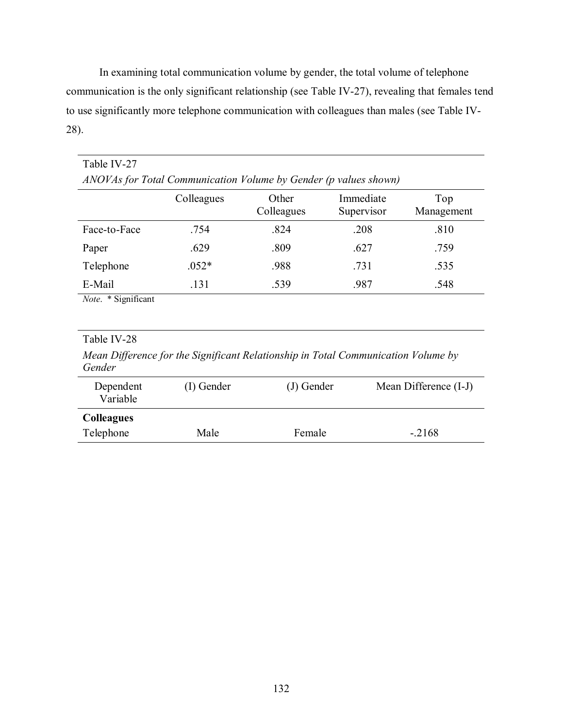In examining total communication volume by gender, the total volume of telephone communication is the only significant relationship (see Table IV-27), revealing that females tend to use significantly more telephone communication with colleagues than males (see Table IV-28).

| Table IV-27                                                      |            |                     |                         |                   |
|------------------------------------------------------------------|------------|---------------------|-------------------------|-------------------|
| ANOVAs for Total Communication Volume by Gender (p values shown) |            |                     |                         |                   |
|                                                                  | Colleagues | Other<br>Colleagues | Immediate<br>Supervisor | Top<br>Management |
| Face-to-Face                                                     | .754       | .824                | .208                    | .810              |
| Paper                                                            | .629       | .809                | .627                    | .759              |
| Telephone                                                        | $.052*$    | .988                | .731                    | .535              |
| E-Mail                                                           | .131       | .539                | .987                    | .548              |
| Note. * Significant                                              |            |                     |                         |                   |

## Table IV-28

*Mean Difference for the Significant Relationship in Total Communication Volume by Gender* 

| Dependent<br>Variable | (I) Gender | (J) Gender | Mean Difference (I-J) |
|-----------------------|------------|------------|-----------------------|
| <b>Colleagues</b>     |            |            |                       |
| Telephone             | Male       | Female     | $-.2168$              |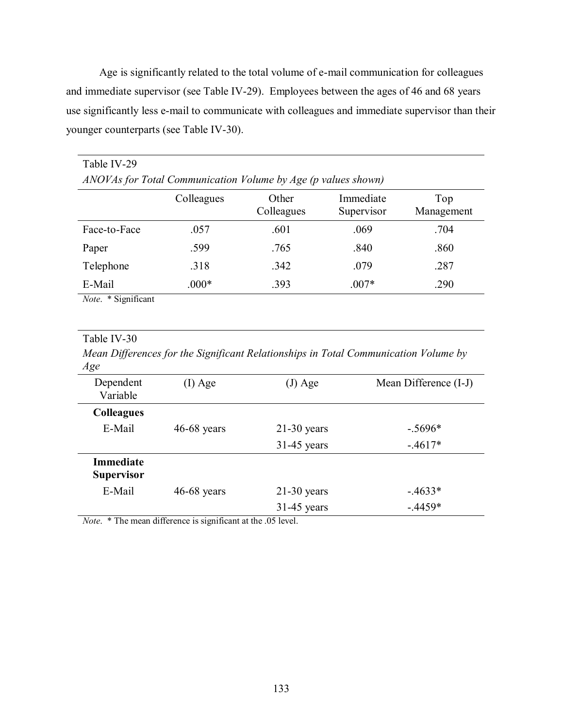Age is significantly related to the total volume of e-mail communication for colleagues and immediate supervisor (see Table IV-29). Employees between the ages of 46 and 68 years use significantly less e-mail to communicate with colleagues and immediate supervisor than their younger counterparts (see Table IV-30).

| Table IV-29                |                                                               |                     |                         |                   |
|----------------------------|---------------------------------------------------------------|---------------------|-------------------------|-------------------|
|                            | ANOVAs for Total Communication Volume by Age (p values shown) |                     |                         |                   |
|                            | Colleagues                                                    | Other<br>Colleagues | Immediate<br>Supervisor | Top<br>Management |
| Face-to-Face               | .057                                                          | .601                | .069                    | .704              |
| Paper                      | .599                                                          | .765                | .840                    | .860              |
| Telephone                  | .318                                                          | .342                | .079                    | .287              |
| E-Mail                     | $.000*$                                                       | .393                | $.007*$                 | .290              |
| <i>Note.</i> * Significant |                                                               |                     |                         |                   |

### Table IV-30

*Mean Differences for the Significant Relationships in Total Communication Volume by Age* 

| Dependent<br>Variable                 | $(I)$ Age     | (J) Age       | Mean Difference (I-J) |
|---------------------------------------|---------------|---------------|-----------------------|
| <b>Colleagues</b>                     |               |               |                       |
| E-Mail                                | $46-68$ years | $21-30$ years | $-.5696*$             |
|                                       |               | $31-45$ years | $-.4617*$             |
| <b>Immediate</b><br><b>Supervisor</b> |               |               |                       |
| E-Mail                                | $46-68$ years | $21-30$ years | $-4633*$              |
|                                       |               | $31-45$ years | $-4459*$              |

*Note*. \* The mean difference is significant at the .05 level.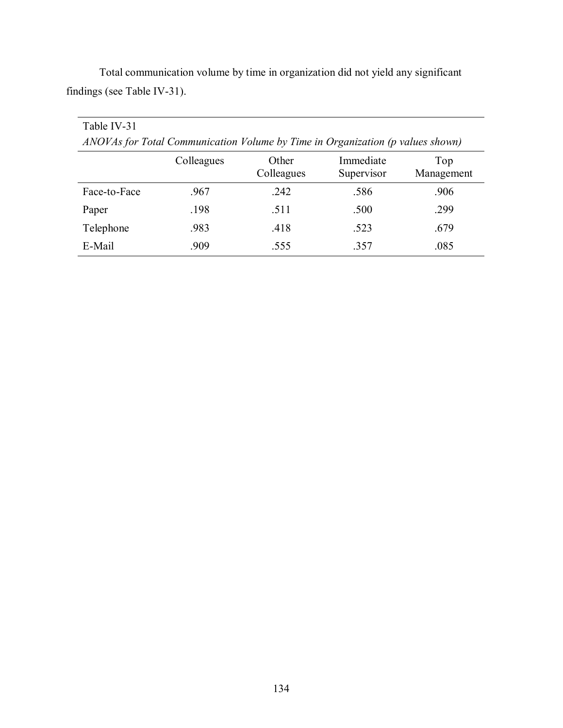| Table IV-31                                                                    |            |                     |                         |                   |
|--------------------------------------------------------------------------------|------------|---------------------|-------------------------|-------------------|
| ANOVAs for Total Communication Volume by Time in Organization (p values shown) |            |                     |                         |                   |
|                                                                                | Colleagues | Other<br>Colleagues | Immediate<br>Supervisor | Top<br>Management |
| Face-to-Face                                                                   | .967       | .242                | .586                    | .906              |
| Paper                                                                          | .198       | .511                | .500                    | .299              |
| Telephone                                                                      | .983       | .418                | .523                    | .679              |
| E-Mail                                                                         | .909       | .555                | .357                    | .085              |

 Total communication volume by time in organization did not yield any significant findings (see Table IV-31).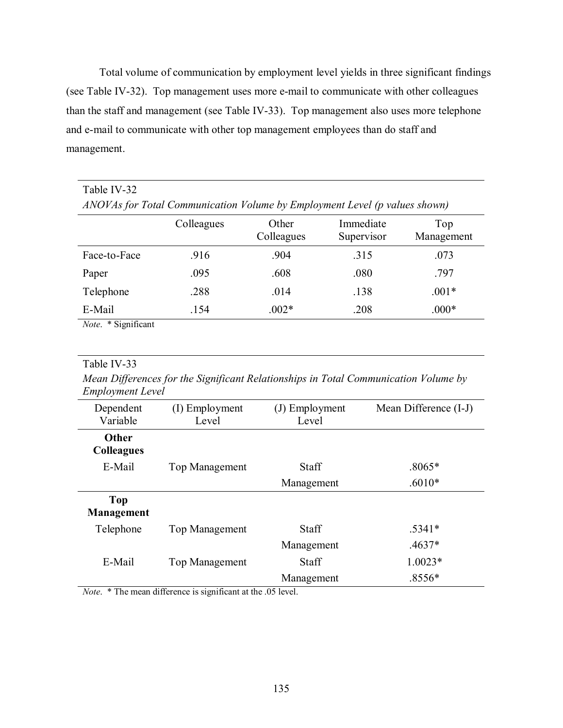Total volume of communication by employment level yields in three significant findings (see Table IV-32). Top management uses more e-mail to communicate with other colleagues than the staff and management (see Table IV-33). Top management also uses more telephone and e-mail to communicate with other top management employees than do staff and management.

| Table IV-32                                                                        |            |                     |                         |                   |  |
|------------------------------------------------------------------------------------|------------|---------------------|-------------------------|-------------------|--|
| ANOVAs for Total Communication Volume by Employment Level (p values shown)         |            |                     |                         |                   |  |
|                                                                                    | Colleagues | Other<br>Colleagues | Immediate<br>Supervisor | Top<br>Management |  |
| Face-to-Face                                                                       | .916       | .904                | .315                    | .073              |  |
| Paper                                                                              | .095       | .608                | .080                    | .797              |  |
| Telephone                                                                          | .288       | .014                | .138                    | $.001*$           |  |
| E-Mail                                                                             | .154       | $.002*$             | .208                    | $.000*$           |  |
| $\cdot$ $\sim$<br>$\mathbf{v}$ $\mathbf{v}$ $\mathbf{v}$ $\mathbf{v}$ $\mathbf{v}$ |            |                     |                         |                   |  |

*Note*. \* Significant

## Table IV-33

*Mean Differences for the Significant Relationships in Total Communication Volume by Employment Level* 

| Dependent<br>Variable             | (I) Employment<br>Level | (J) Employment<br>Level | Mean Difference (I-J) |
|-----------------------------------|-------------------------|-------------------------|-----------------------|
| <b>Other</b><br><b>Colleagues</b> |                         |                         |                       |
| E-Mail                            | <b>Top Management</b>   | <b>Staff</b>            | $.8065*$              |
|                                   |                         | Management              | $.6010*$              |
| Top<br>Management                 |                         |                         |                       |
| Telephone                         | <b>Top Management</b>   | Staff                   | $.5341*$              |
|                                   |                         | Management              | $.4637*$              |
| E-Mail                            | <b>Top Management</b>   | <b>Staff</b>            | $1.0023*$             |
|                                   |                         | Management              | $.8556*$              |

*Note*. \* The mean difference is significant at the .05 level.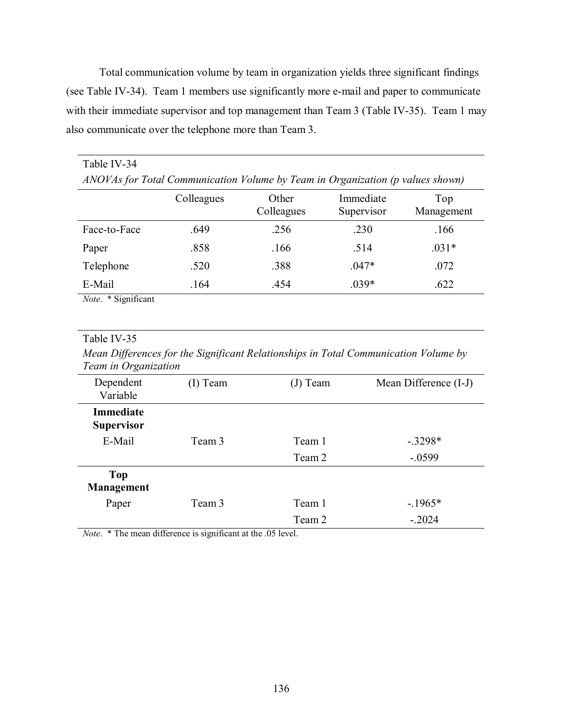Total communication volume by team in organization yields three significant findings (see Table IV-34). Team 1 members use significantly more e-mail and paper to communicate with their immediate supervisor and top management than Team 3 (Table IV-35). Team 1 may also communicate over the telephone more than Team 3.

| Table IV-34                                                                    |            |                     |                         |                   |
|--------------------------------------------------------------------------------|------------|---------------------|-------------------------|-------------------|
| ANOVAs for Total Communication Volume by Team in Organization (p values shown) |            |                     |                         |                   |
|                                                                                | Colleagues | Other<br>Colleagues | Immediate<br>Supervisor | Top<br>Management |
| Face-to-Face                                                                   | .649       | .256                | .230                    | .166              |
| Paper                                                                          | .858       | .166                | .514                    | $.031*$           |
| Telephone                                                                      | .520       | .388                | $.047*$                 | .072              |
| E-Mail                                                                         | .164       | .454                | $.039*$                 | .622              |
| Note. * Significant                                                            |            |                     |                         |                   |

### Table IV-35

*Mean Differences for the Significant Relationships in Total Communication Volume by Team in Organization* 

| Dependent<br>Variable                 | (I) Team | (J) Team | Mean Difference (I-J) |
|---------------------------------------|----------|----------|-----------------------|
| <b>Immediate</b><br><b>Supervisor</b> |          |          |                       |
| E-Mail                                | Team 3   | Team 1   | $-.3298*$             |
|                                       |          | Team 2   | $-.0599$              |
| <b>Top</b><br>Management              |          |          |                       |
| Paper                                 | Team 3   | Team 1   | $-1965*$              |
|                                       |          | Team 2   | $-.2024$              |

*Note*. \* The mean difference is significant at the .05 level.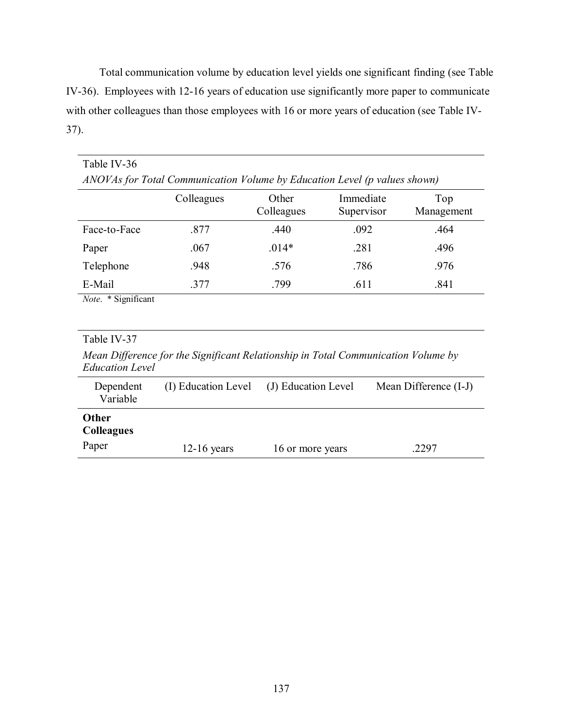Total communication volume by education level yields one significant finding (see Table IV-36). Employees with 12-16 years of education use significantly more paper to communicate with other colleagues than those employees with 16 or more years of education (see Table IV-37).

| Table IV-36                                                               |            |                     |                         |                   |  |
|---------------------------------------------------------------------------|------------|---------------------|-------------------------|-------------------|--|
| ANOVAs for Total Communication Volume by Education Level (p values shown) |            |                     |                         |                   |  |
|                                                                           | Colleagues | Other<br>Colleagues | Immediate<br>Supervisor | Top<br>Management |  |
| Face-to-Face                                                              | .877       | .440                | .092                    | .464              |  |
| Paper                                                                     | .067       | $.014*$             | .281                    | .496              |  |
| Telephone                                                                 | .948       | .576                | .786                    | .976              |  |
| E-Mail                                                                    | .377       | .799                | .611                    | .841              |  |
| <i>Note.</i> * Significant                                                |            |                     |                         |                   |  |

## Table IV-37

*Mean Difference for the Significant Relationship in Total Communication Volume by Education Level* 

| Dependent<br>Variable                      | (I) Education Level | (J) Education Level | Mean Difference (I-J) |
|--------------------------------------------|---------------------|---------------------|-----------------------|
| <b>Other</b><br><b>Colleagues</b><br>Paper | $12-16$ years       | 16 or more years    | 2297                  |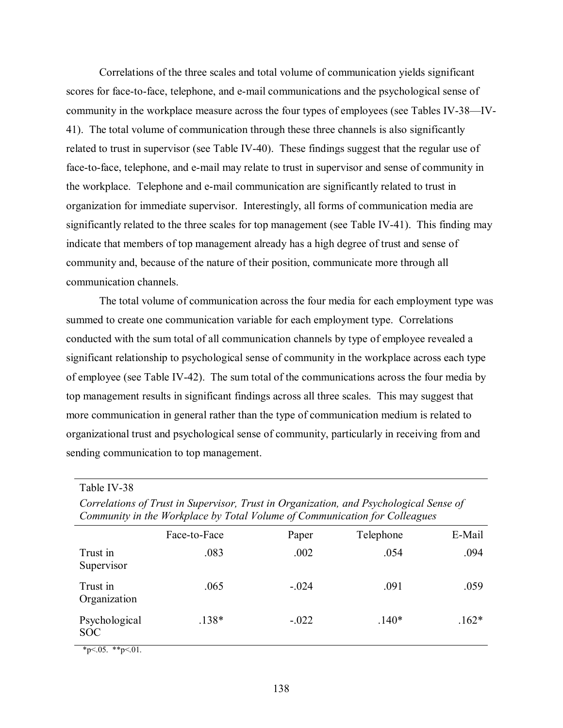Correlations of the three scales and total volume of communication yields significant scores for face-to-face, telephone, and e-mail communications and the psychological sense of community in the workplace measure across the four types of employees (see Tables IV-38—IV-41). The total volume of communication through these three channels is also significantly related to trust in supervisor (see Table IV-40). These findings suggest that the regular use of face-to-face, telephone, and e-mail may relate to trust in supervisor and sense of community in the workplace. Telephone and e-mail communication are significantly related to trust in organization for immediate supervisor. Interestingly, all forms of communication media are significantly related to the three scales for top management (see Table IV-41). This finding may indicate that members of top management already has a high degree of trust and sense of community and, because of the nature of their position, communicate more through all communication channels.

The total volume of communication across the four media for each employment type was summed to create one communication variable for each employment type. Correlations conducted with the sum total of all communication channels by type of employee revealed a significant relationship to psychological sense of community in the workplace across each type of employee (see Table IV-42). The sum total of the communications across the four media by top management results in significant findings across all three scales. This may suggest that more communication in general rather than the type of communication medium is related to organizational trust and psychological sense of community, particularly in receiving from and sending communication to top management.

Table IV-38

| Community in the Workplace by Total Volume of Communication for Colleagues |         |           |         |  |  |
|----------------------------------------------------------------------------|---------|-----------|---------|--|--|
| Face-to-Face                                                               | Paper   | Telephone | E-Mail  |  |  |
| .083                                                                       | .002    | .054      | .094    |  |  |
| .065                                                                       | $-.024$ | .091      | .059    |  |  |
| $.138*$                                                                    | $-.022$ | $.140*$   | $.162*$ |  |  |
|                                                                            |         |           |         |  |  |

*Correlations of Trust in Supervisor, Trust in Organization, and Psychological Sense of* 

 $*p<.05.$  \*\*p $<.01.$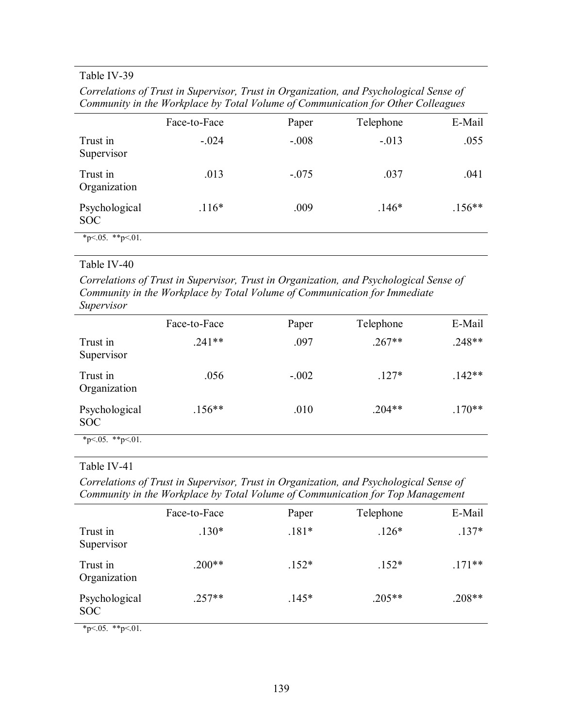## Table IV-39

*Correlations of Trust in Supervisor, Trust in Organization, and Psychological Sense of Community in the Workplace by Total Volume of Communication for Other Colleagues* 

|                             | Face-to-Face | Paper   | Telephone | E-Mail   |
|-----------------------------|--------------|---------|-----------|----------|
| Trust in<br>Supervisor      | $-.024$      | $-.008$ | $-.013$   | .055     |
| Trust in<br>Organization    | .013         | $-.075$ | .037      | .041     |
| Psychological<br><b>SOC</b> | $.116*$      | .009    | $.146*$   | $.156**$ |
| *p<.05. **p<.01.            |              |         |           |          |

## Table IV-40

*Correlations of Trust in Supervisor, Trust in Organization, and Psychological Sense of Community in the Workplace by Total Volume of Communication for Immediate Supervisor* 

|                             | Face-to-Face | Paper   | Telephone | E-Mail   |
|-----------------------------|--------------|---------|-----------|----------|
| Trust in<br>Supervisor      | $.241**$     | .097    | $.267**$  | $.248**$ |
| Trust in<br>Organization    | .056         | $-.002$ | $.127*$   | $.142**$ |
| Psychological<br><b>SOC</b> | $.156**$     | .010    | $.204**$  | $.170**$ |
| *p<.05. **p<.01.            |              |         |           |          |

## Table IV-41

*Correlations of Trust in Supervisor, Trust in Organization, and Psychological Sense of Community in the Workplace by Total Volume of Communication for Top Management* 

|                             | Face-to-Face | Paper   | Telephone | E-Mail   |
|-----------------------------|--------------|---------|-----------|----------|
| Trust in<br>Supervisor      | $.130*$      | $.181*$ | $.126*$   | $.137*$  |
| Trust in<br>Organization    | $.200**$     | $.152*$ | $.152*$   | $.171**$ |
| Psychological<br><b>SOC</b> | $.257**$     | $.145*$ | $.205**$  | $.208**$ |

 $*p<.05.$  \*\*p<.01.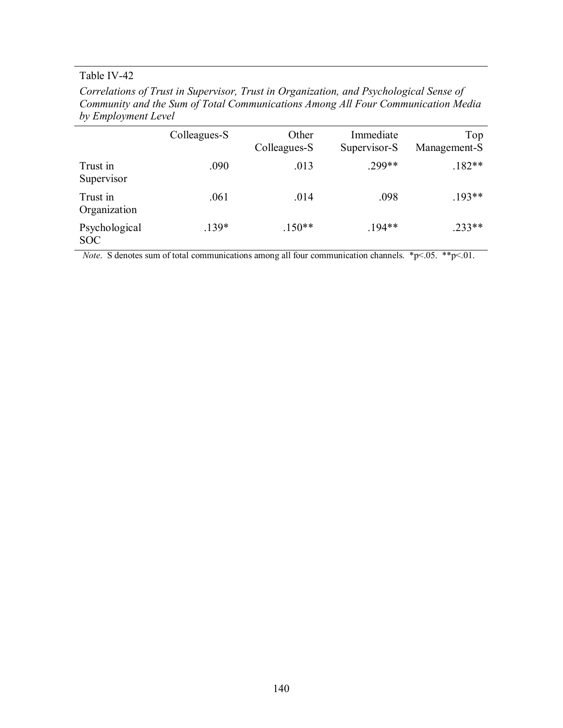# Table IV-42

| Correlations of Trust in Supervisor, Trust in Organization, and Psychological Sense of |
|----------------------------------------------------------------------------------------|
| Community and the Sum of Total Communications Among All Four Communication Media       |
| by Employment Level                                                                    |

| $\tilde{\phantom{a}}$       |              |                       |                           |                     |
|-----------------------------|--------------|-----------------------|---------------------------|---------------------|
|                             | Colleagues-S | Other<br>Colleagues-S | Immediate<br>Supervisor-S | Top<br>Management-S |
| Trust in<br>Supervisor      | .090         | .013                  | .299**                    | $.182**$            |
| Trust in<br>Organization    | .061         | .014                  | .098                      | $.193**$            |
| Psychological<br><b>SOC</b> | $.139*$      | $.150**$              | $.194**$                  | $.233**$            |

*Note.* S denotes sum of total communications among all four communication channels. \*p<.05. \*\*p<.01.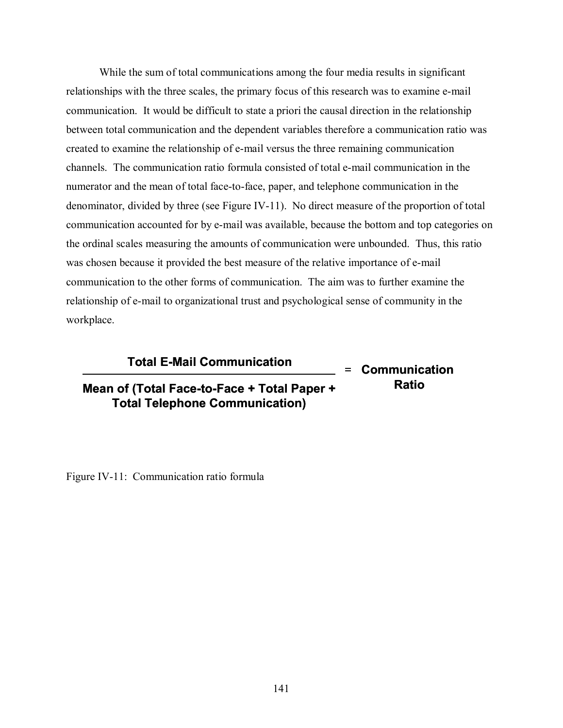While the sum of total communications among the four media results in significant relationships with the three scales, the primary focus of this research was to examine e-mail communication. It would be difficult to state a priori the causal direction in the relationship between total communication and the dependent variables therefore a communication ratio was created to examine the relationship of e-mail versus the three remaining communication channels. The communication ratio formula consisted of total e-mail communication in the numerator and the mean of total face-to-face, paper, and telephone communication in the denominator, divided by three (see Figure IV-11). No direct measure of the proportion of total communication accounted for by e-mail was available, because the bottom and top categories on the ordinal scales measuring the amounts of communication were unbounded. Thus, this ratio was chosen because it provided the best measure of the relative importance of e-mail communication to the other forms of communication. The aim was to further examine the relationship of e-mail to organizational trust and psychological sense of community in the workplace.

## **Total E-Mail Communication**

**Mean of (Total Face-to-Face + Total Paper + Total Telephone Communication)**

**= Communication Ratio**

Figure IV-11: Communication ratio formula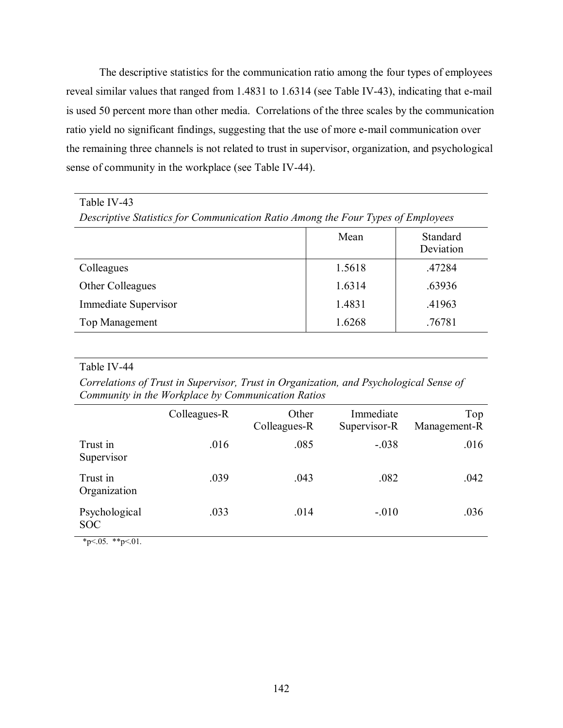The descriptive statistics for the communication ratio among the four types of employees reveal similar values that ranged from 1.4831 to 1.6314 (see Table IV-43), indicating that e-mail is used 50 percent more than other media. Correlations of the three scales by the communication ratio yield no significant findings, suggesting that the use of more e-mail communication over the remaining three channels is not related to trust in supervisor, organization, and psychological sense of community in the workplace (see Table IV-44).

## Table IV-43

*Descriptive Statistics for Communication Ratio Among the Four Types of Employees* 

|                      | Mean   | Standard<br>Deviation |
|----------------------|--------|-----------------------|
| Colleagues           | 1.5618 | .47284                |
| Other Colleagues     | 1.6314 | .63936                |
| Immediate Supervisor | 1.4831 | .41963                |
| Top Management       | 1.6268 | .76781                |

### Table IV-44

*Correlations of Trust in Supervisor, Trust in Organization, and Psychological Sense of Community in the Workplace by Communication Ratios* 

|                             | Colleagues-R | Other<br>Colleagues-R | Immediate<br>Supervisor-R | Top<br>Management-R |
|-----------------------------|--------------|-----------------------|---------------------------|---------------------|
| Trust in<br>Supervisor      | .016         | .085                  | $-.038$                   | .016                |
| Trust in<br>Organization    | .039         | .043                  | .082                      | .042                |
| Psychological<br><b>SOC</b> | .033         | .014                  | $-.010$                   | .036                |

 $*p<.05.$  \*\*p<.01.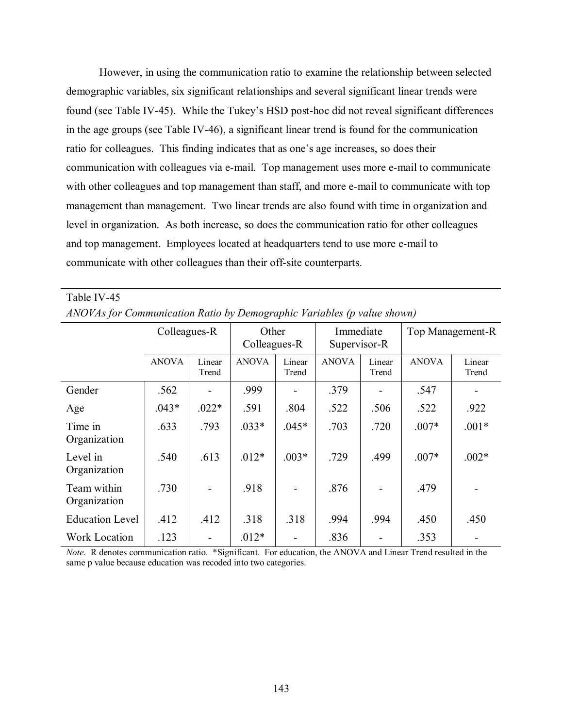However, in using the communication ratio to examine the relationship between selected demographic variables, six significant relationships and several significant linear trends were found (see Table IV-45). While the Tukey's HSD post-hoc did not reveal significant differences in the age groups (see Table IV-46), a significant linear trend is found for the communication ratio for colleagues. This finding indicates that as one's age increases, so does their communication with colleagues via e-mail. Top management uses more e-mail to communicate with other colleagues and top management than staff, and more e-mail to communicate with top management than management. Two linear trends are also found with time in organization and level in organization. As both increase, so does the communication ratio for other colleagues and top management. Employees located at headquarters tend to use more e-mail to communicate with other colleagues than their off-site counterparts.

| <i>THVOTTIST01</i> Communication Ratio by Demographic Fariables (p value shown) |              |                 |                       |                 |                           |                 |                  |                 |
|---------------------------------------------------------------------------------|--------------|-----------------|-----------------------|-----------------|---------------------------|-----------------|------------------|-----------------|
|                                                                                 | Colleagues-R |                 | Other<br>Colleagues-R |                 | Immediate<br>Supervisor-R |                 | Top Management-R |                 |
|                                                                                 | <b>ANOVA</b> | Linear<br>Trend | <b>ANOVA</b>          | Linear<br>Trend | <b>ANOVA</b>              | Linear<br>Trend | <b>ANOVA</b>     | Linear<br>Trend |
| Gender                                                                          | .562         |                 | .999                  |                 | .379                      |                 | .547             |                 |
| Age                                                                             | $.043*$      | $.022*$         | .591                  | .804            | .522                      | .506            | .522             | .922            |
| Time in<br>Organization                                                         | .633         | .793            | $.033*$               | $.045*$         | .703                      | .720            | $.007*$          | $.001*$         |
| Level in<br>Organization                                                        | .540         | .613            | $.012*$               | $.003*$         | .729                      | .499            | $.007*$          | $.002*$         |
| Team within<br>Organization                                                     | .730         |                 | .918                  |                 | .876                      |                 | .479             |                 |
| <b>Education Level</b>                                                          | .412         | .412            | .318                  | .318            | .994                      | .994            | .450             | .450            |
| <b>Work Location</b>                                                            | .123         |                 | $.012*$               |                 | .836                      |                 | .353             |                 |

Table IV-45 *ANOVAs for Communication Ratio by Demographic Variables (p value shown)* 

*Note*. R denotes communication ratio. \*Significant. For education, the ANOVA and Linear Trend resulted in the same p value because education was recoded into two categories.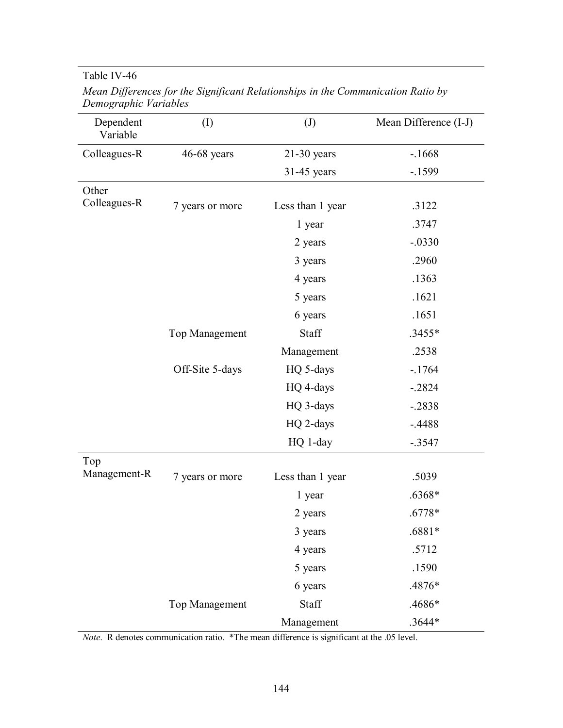# Table IV-46

| Dependent<br>Variable | $\rm (I)$             | $\left( \mathrm{J}\right)$ | Mean Difference (I-J) |
|-----------------------|-----------------------|----------------------------|-----------------------|
| Colleagues-R          | $46-68$ years         | $21-30$ years              | $-1668$               |
|                       |                       | $31-45$ years              | $-1599$               |
| Other                 |                       |                            |                       |
| Colleagues-R          | 7 years or more       | Less than 1 year           | .3122                 |
|                       |                       | 1 year                     | .3747                 |
|                       |                       | 2 years                    | $-.0330$              |
|                       |                       | 3 years                    | .2960                 |
|                       |                       | 4 years                    | .1363                 |
|                       |                       | 5 years                    | .1621                 |
|                       |                       | 6 years                    | .1651                 |
|                       | <b>Top Management</b> | Staff                      | .3455*                |
|                       |                       | Management                 | .2538                 |
|                       | Off-Site 5-days       | HQ 5-days                  | $-1764$               |
|                       |                       | HQ 4-days                  | $-.2824$              |
|                       |                       | HQ 3-days                  | $-.2838$              |
|                       |                       | HQ 2-days                  | $-.4488$              |
|                       |                       | HQ 1-day                   | $-.3547$              |
| Top                   |                       |                            |                       |
| Management-R          | 7 years or more       | Less than 1 year           | .5039                 |
|                       |                       | 1 year                     | .6368*                |
|                       |                       | 2 years                    | $.6778*$              |
|                       |                       | 3 years                    | .6881*                |
|                       |                       | 4 years                    | .5712                 |
|                       |                       | 5 years                    | .1590                 |
|                       |                       | 6 years                    | .4876*                |
|                       | Top Management        | Staff                      | .4686*                |
|                       |                       | Management                 | $.3644*$              |

*Mean Differences for the Significant Relationships in the Communication Ratio by Demographic Variables* 

*Note.* R denotes communication ratio. \*The mean difference is significant at the .05 level.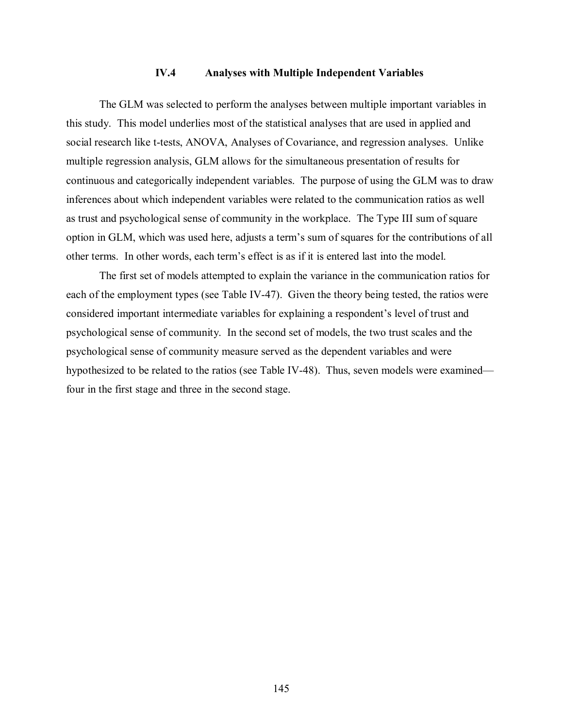## **IV.4 Analyses with Multiple Independent Variables**

The GLM was selected to perform the analyses between multiple important variables in this study. This model underlies most of the statistical analyses that are used in applied and social research like t-tests, ANOVA, Analyses of Covariance, and regression analyses. Unlike multiple regression analysis, GLM allows for the simultaneous presentation of results for continuous and categorically independent variables. The purpose of using the GLM was to draw inferences about which independent variables were related to the communication ratios as well as trust and psychological sense of community in the workplace. The Type III sum of square option in GLM, which was used here, adjusts a term's sum of squares for the contributions of all other terms. In other words, each term's effect is as if it is entered last into the model.

The first set of models attempted to explain the variance in the communication ratios for each of the employment types (see Table IV-47). Given the theory being tested, the ratios were considered important intermediate variables for explaining a respondent's level of trust and psychological sense of community. In the second set of models, the two trust scales and the psychological sense of community measure served as the dependent variables and were hypothesized to be related to the ratios (see Table IV-48). Thus, seven models were examined four in the first stage and three in the second stage.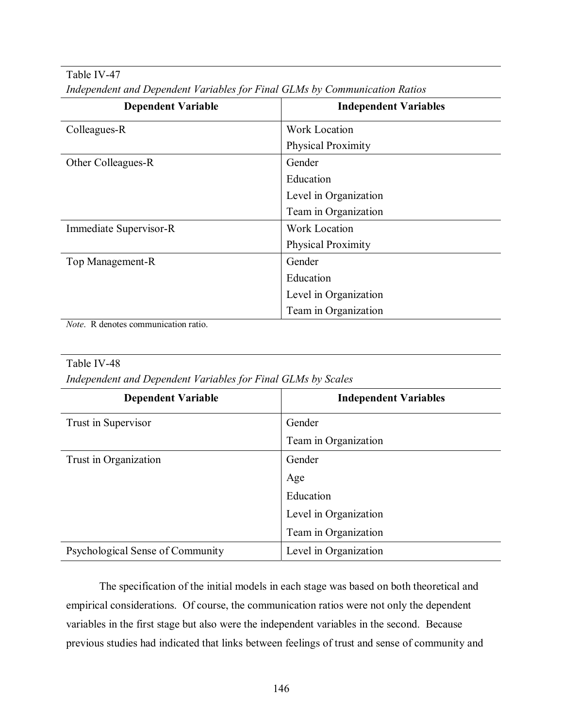Table IV-47

|  |  | Independent and Dependent Variables for Final GLMs by Communication Ratios |
|--|--|----------------------------------------------------------------------------|
|  |  |                                                                            |

| <b>Dependent Variable</b>                                                  | <b>Independent Variables</b> |
|----------------------------------------------------------------------------|------------------------------|
| Colleagues-R                                                               | <b>Work Location</b>         |
|                                                                            | Physical Proximity           |
| Other Colleagues-R                                                         | Gender                       |
|                                                                            | Education                    |
|                                                                            | Level in Organization        |
|                                                                            | Team in Organization         |
| Immediate Supervisor-R                                                     | Work Location                |
|                                                                            | <b>Physical Proximity</b>    |
| Top Management-R                                                           | Gender                       |
|                                                                            | Education                    |
|                                                                            | Level in Organization        |
| the company's company's company's<br>$\sim$ $\sim$ $\sim$<br>$\sim$ $\sim$ | Team in Organization         |

*Note*. R denotes communication ratio.

## Table IV-48

*Independent and Dependent Variables for Final GLMs by Scales* 

| <b>Dependent Variable</b>        | <b>Independent Variables</b> |
|----------------------------------|------------------------------|
| Trust in Supervisor              | Gender                       |
|                                  | Team in Organization         |
| Trust in Organization            | Gender                       |
|                                  | Age                          |
|                                  | Education                    |
|                                  | Level in Organization        |
|                                  | Team in Organization         |
| Psychological Sense of Community | Level in Organization        |

The specification of the initial models in each stage was based on both theoretical and empirical considerations. Of course, the communication ratios were not only the dependent variables in the first stage but also were the independent variables in the second. Because previous studies had indicated that links between feelings of trust and sense of community and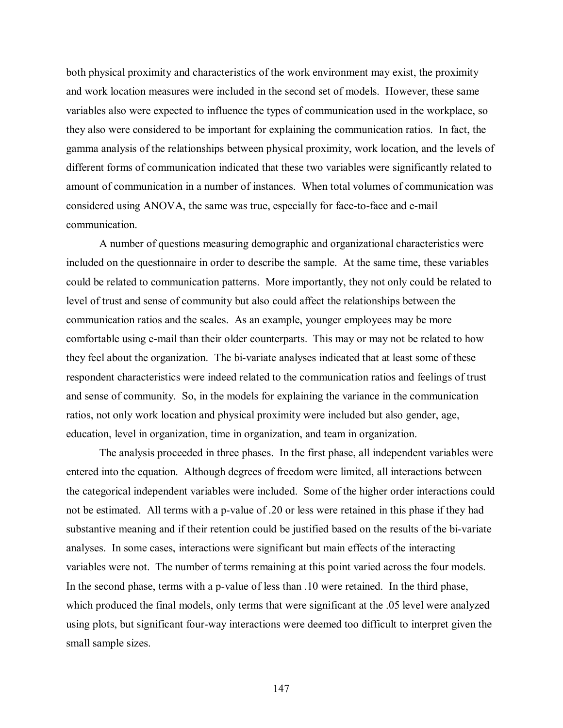both physical proximity and characteristics of the work environment may exist, the proximity and work location measures were included in the second set of models. However, these same variables also were expected to influence the types of communication used in the workplace, so they also were considered to be important for explaining the communication ratios. In fact, the gamma analysis of the relationships between physical proximity, work location, and the levels of different forms of communication indicated that these two variables were significantly related to amount of communication in a number of instances. When total volumes of communication was considered using ANOVA, the same was true, especially for face-to-face and e-mail communication.

 A number of questions measuring demographic and organizational characteristics were included on the questionnaire in order to describe the sample. At the same time, these variables could be related to communication patterns. More importantly, they not only could be related to level of trust and sense of community but also could affect the relationships between the communication ratios and the scales. As an example, younger employees may be more comfortable using e-mail than their older counterparts. This may or may not be related to how they feel about the organization. The bi-variate analyses indicated that at least some of these respondent characteristics were indeed related to the communication ratios and feelings of trust and sense of community. So, in the models for explaining the variance in the communication ratios, not only work location and physical proximity were included but also gender, age, education, level in organization, time in organization, and team in organization.

The analysis proceeded in three phases. In the first phase, all independent variables were entered into the equation. Although degrees of freedom were limited, all interactions between the categorical independent variables were included. Some of the higher order interactions could not be estimated. All terms with a p-value of .20 or less were retained in this phase if they had substantive meaning and if their retention could be justified based on the results of the bi-variate analyses. In some cases, interactions were significant but main effects of the interacting variables were not. The number of terms remaining at this point varied across the four models. In the second phase, terms with a p-value of less than .10 were retained. In the third phase, which produced the final models, only terms that were significant at the .05 level were analyzed using plots, but significant four-way interactions were deemed too difficult to interpret given the small sample sizes.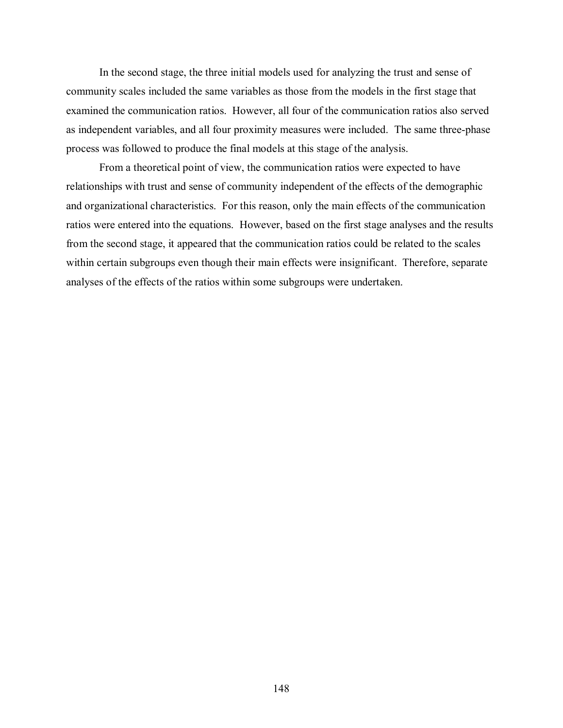In the second stage, the three initial models used for analyzing the trust and sense of community scales included the same variables as those from the models in the first stage that examined the communication ratios. However, all four of the communication ratios also served as independent variables, and all four proximity measures were included. The same three-phase process was followed to produce the final models at this stage of the analysis.

From a theoretical point of view, the communication ratios were expected to have relationships with trust and sense of community independent of the effects of the demographic and organizational characteristics. For this reason, only the main effects of the communication ratios were entered into the equations. However, based on the first stage analyses and the results from the second stage, it appeared that the communication ratios could be related to the scales within certain subgroups even though their main effects were insignificant. Therefore, separate analyses of the effects of the ratios within some subgroups were undertaken.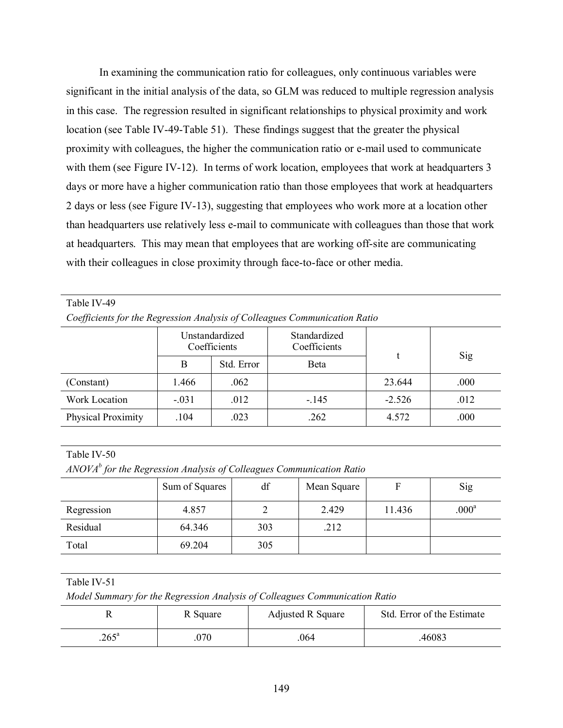In examining the communication ratio for colleagues, only continuous variables were significant in the initial analysis of the data, so GLM was reduced to multiple regression analysis in this case. The regression resulted in significant relationships to physical proximity and work location (see Table IV-49-Table 51). These findings suggest that the greater the physical proximity with colleagues, the higher the communication ratio or e-mail used to communicate with them (see Figure IV-12). In terms of work location, employees that work at headquarters 3 days or more have a higher communication ratio than those employees that work at headquarters 2 days or less (see Figure IV-13), suggesting that employees who work more at a location other than headquarters use relatively less e-mail to communicate with colleagues than those that work at headquarters. This may mean that employees that are working off-site are communicating with their colleagues in close proximity through face-to-face or other media.

#### Table IV-49

*Coefficients for the Regression Analysis of Colleagues Communication Ratio* 

|                      | Unstandardized<br>Coefficients |            | Standardized<br>Coefficients |          |      |
|----------------------|--------------------------------|------------|------------------------------|----------|------|
|                      | B                              | Std. Error | Beta                         |          | Sig  |
| (Constant)           | 1.466                          | .062       |                              | 23.644   | .000 |
| <b>Work Location</b> | $-.031$                        | .012       | $-145$                       | $-2.526$ | .012 |
| Physical Proximity   | .104                           | .023       | .262                         | 4.572    | .000 |

### Table IV-50

*ANOVAb for the Regression Analysis of Colleagues Communication Ratio* 

|            | Sum of Squares | df  | Mean Square |        | Sig               |
|------------|----------------|-----|-------------|--------|-------------------|
| Regression | 4.857          |     | 2.429       | 11.436 | .000 <sup>a</sup> |
| Residual   | 64.346         | 303 | .212        |        |                   |
| Total      | 69.204         | 305 |             |        |                   |

### Table IV-51

*Model Summary for the Regression Analysis of Colleagues Communication Ratio* 

|               | R Square | <b>Adjusted R Square</b> | Std. Error of the Estimate |
|---------------|----------|--------------------------|----------------------------|
| $265^{\circ}$ | 070      | 064                      | 46083                      |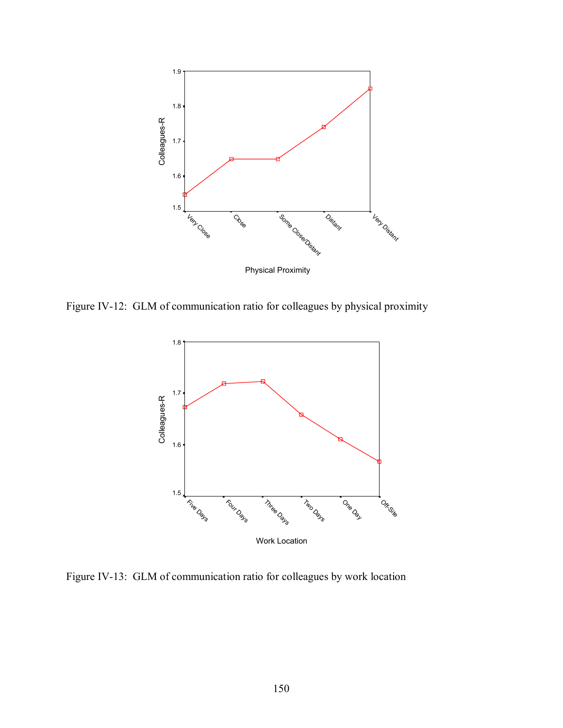

Figure IV-12: GLM of communication ratio for colleagues by physical proximity



Figure IV-13: GLM of communication ratio for colleagues by work location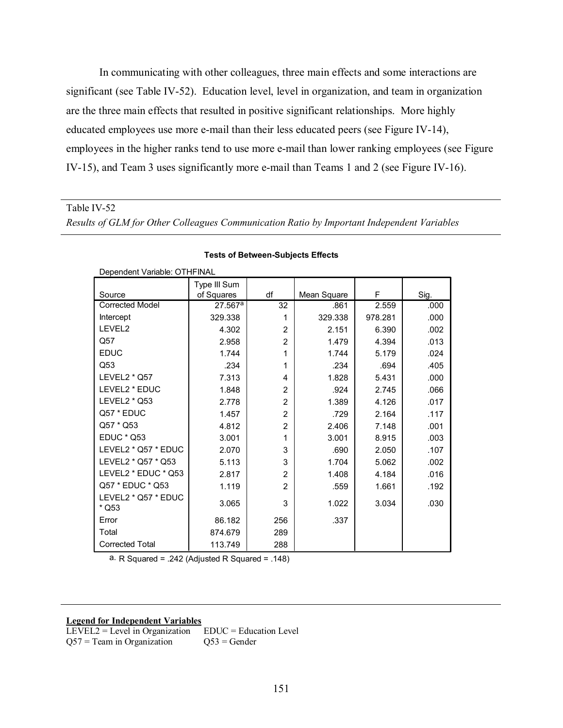In communicating with other colleagues, three main effects and some interactions are significant (see Table IV-52). Education level, level in organization, and team in organization are the three main effects that resulted in positive significant relationships. More highly educated employees use more e-mail than their less educated peers (see Figure IV-14), employees in the higher ranks tend to use more e-mail than lower ranking employees (see Figure IV-15), and Team 3 uses significantly more e-mail than Teams 1 and 2 (see Figure IV-16).

Table IV-52

*Results of GLM for Other Colleagues Communication Ratio by Important Independent Variables*

|                              | Type III Sum |                |             |         |      |
|------------------------------|--------------|----------------|-------------|---------|------|
| Source                       | of Squares   | df             | Mean Square | F       | Sig. |
| <b>Corrected Model</b>       | $27.567^a$   | 32             | .861        | 2.559   | .000 |
| Intercept                    | 329.338      | 1              | 329.338     | 978.281 | .000 |
| LEVEL2                       | 4.302        | $\overline{2}$ | 2.151       | 6.390   | .002 |
| Q57                          | 2.958        | $\overline{2}$ | 1.479       | 4.394   | .013 |
| <b>EDUC</b>                  | 1.744        | 1              | 1.744       | 5.179   | .024 |
| Q53                          | .234         | 1              | .234        | .694    | .405 |
| LEVEL2 * Q57                 | 7.313        | 4              | 1.828       | 5.431   | .000 |
| LEVEL2 * EDUC                | 1.848        | $\overline{2}$ | .924        | 2.745   | .066 |
| LEVEL2 * Q53                 | 2.778        | $\overline{2}$ | 1.389       | 4.126   | .017 |
| Q57 * EDUC                   | 1.457        | $\overline{2}$ | .729        | 2.164   | .117 |
| Q57 * Q53                    | 4.812        | $\overline{2}$ | 2.406       | 7.148   | .001 |
| <b>EDUC * Q53</b>            | 3.001        | 1              | 3.001       | 8.915   | .003 |
| LEVEL2 * Q57 * EDUC          | 2.070        | 3              | .690        | 2.050   | .107 |
| LEVEL2 * Q57 * Q53           | 5.113        | 3              | 1.704       | 5.062   | .002 |
| LEVEL2 * EDUC * Q53          | 2.817        | $\overline{2}$ | 1.408       | 4.184   | .016 |
| Q57 * EDUC * Q53             | 1.119        | $\overline{2}$ | .559        | 1.661   | .192 |
| LEVEL2 * Q57 * EDUC<br>* Q53 | 3.065        | 3              | 1.022       | 3.034   | .030 |
| Error                        | 86.182       | 256            | .337        |         |      |
| Total                        | 874.679      | 289            |             |         |      |
| <b>Corrected Total</b>       | 113.749      | 288            |             |         |      |

#### **Tests of Between-Subjects Effects**

Dependent Variable: OTHFINAL

a. R Squared = .242 (Adjusted R Squared = .148)

#### **Legend for Independent Variables**

LEVEL2 = Level in Organization EDUC = Education Level Q57 = Team in Organization  $Q53 = \text{Gender}$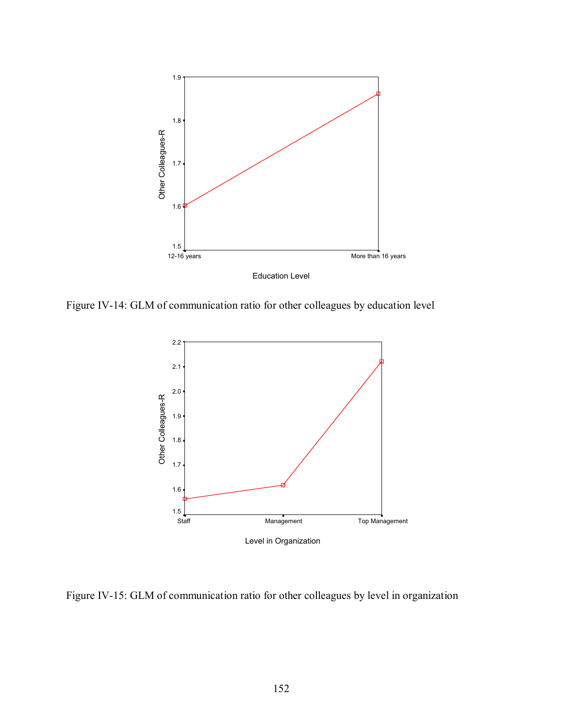

Figure IV-14: GLM of communication ratio for other colleagues by education level



Figure IV-15: GLM of communication ratio for other colleagues by level in organization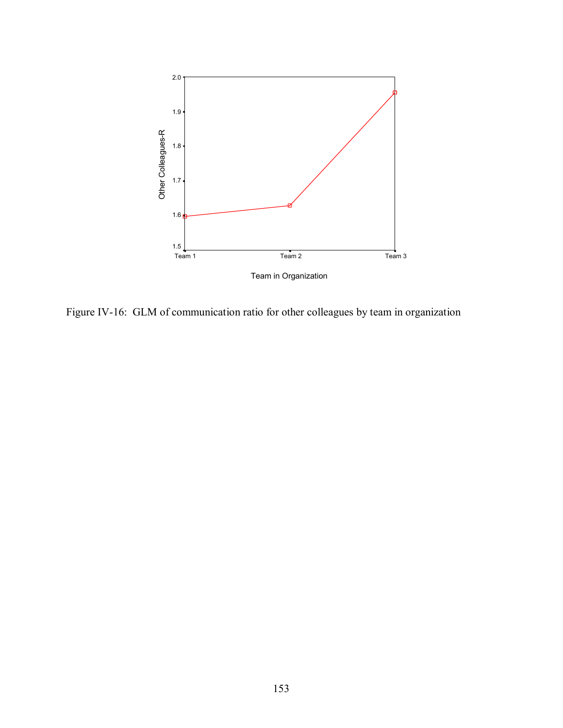

Figure IV-16: GLM of communication ratio for other colleagues by team in organization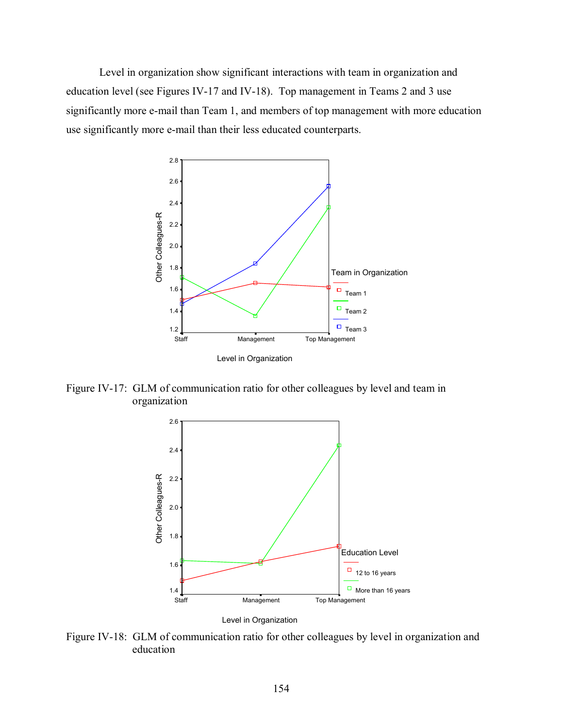Level in organization show significant interactions with team in organization and education level (see Figures IV-17 and IV-18). Top management in Teams 2 and 3 use significantly more e-mail than Team 1, and members of top management with more education use significantly more e-mail than their less educated counterparts.



Figure IV-17: GLM of communication ratio for other colleagues by level and team in organization



Level in Organization

Figure IV-18: GLM of communication ratio for other colleagues by level in organization and education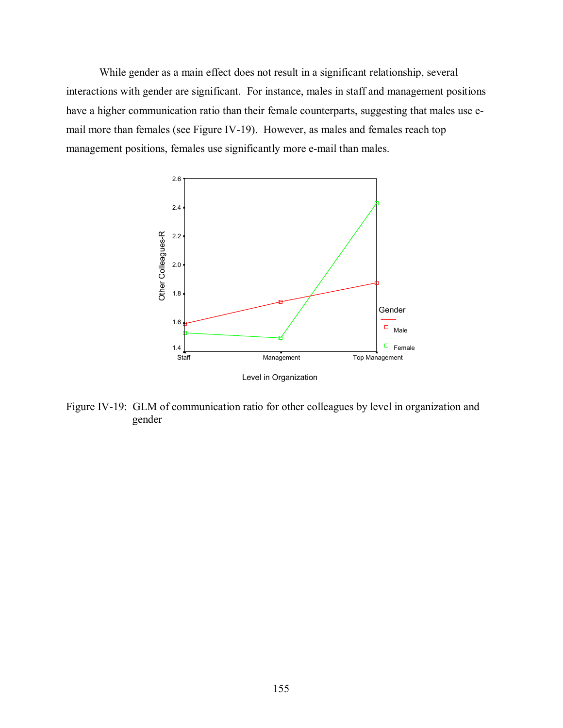While gender as a main effect does not result in a significant relationship, several interactions with gender are significant. For instance, males in staff and management positions have a higher communication ratio than their female counterparts, suggesting that males use email more than females (see Figure IV-19). However, as males and females reach top management positions, females use significantly more e-mail than males.



Figure IV-19: GLM of communication ratio for other colleagues by level in organization and gender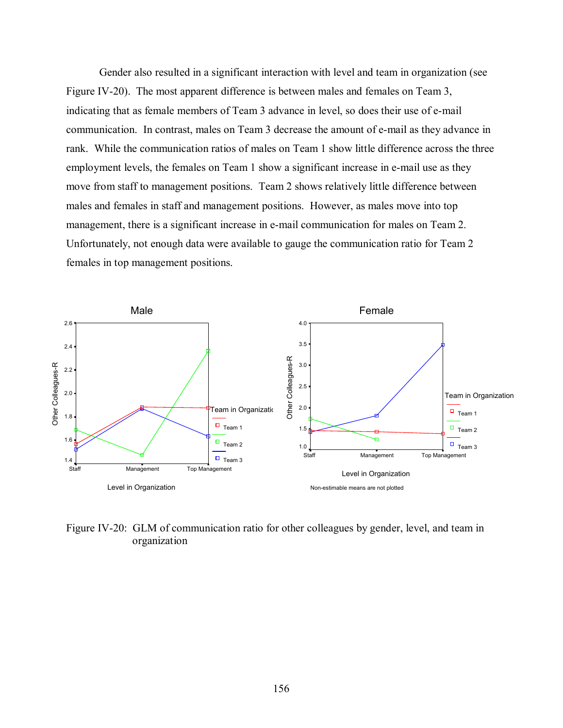Gender also resulted in a significant interaction with level and team in organization (see Figure IV-20). The most apparent difference is between males and females on Team 3, indicating that as female members of Team 3 advance in level, so does their use of e-mail communication. In contrast, males on Team 3 decrease the amount of e-mail as they advance in rank. While the communication ratios of males on Team 1 show little difference across the three employment levels, the females on Team 1 show a significant increase in e-mail use as they move from staff to management positions. Team 2 shows relatively little difference between males and females in staff and management positions. However, as males move into top management, there is a significant increase in e-mail communication for males on Team 2. Unfortunately, not enough data were available to gauge the communication ratio for Team 2 females in top management positions.



Figure IV-20: GLM of communication ratio for other colleagues by gender, level, and team in organization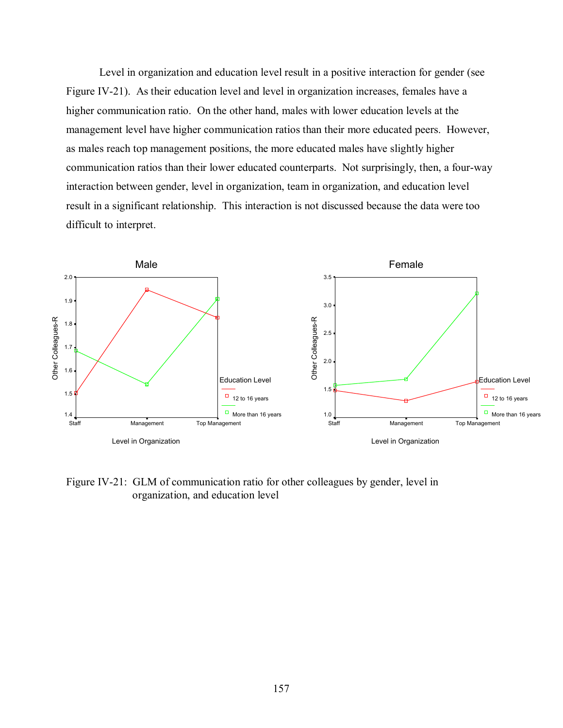Level in organization and education level result in a positive interaction for gender (see Figure IV-21). As their education level and level in organization increases, females have a higher communication ratio. On the other hand, males with lower education levels at the management level have higher communication ratios than their more educated peers. However, as males reach top management positions, the more educated males have slightly higher communication ratios than their lower educated counterparts. Not surprisingly, then, a four-way interaction between gender, level in organization, team in organization, and education level result in a significant relationship. This interaction is not discussed because the data were too difficult to interpret.



Figure IV-21: GLM of communication ratio for other colleagues by gender, level in organization, and education level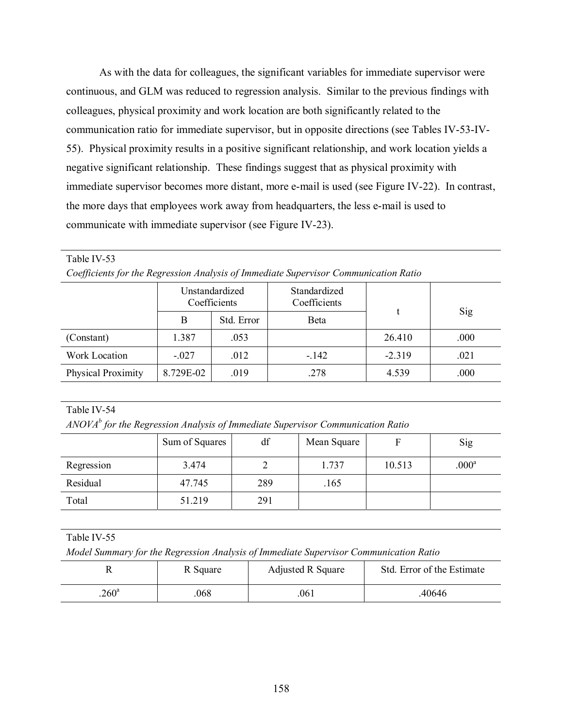As with the data for colleagues, the significant variables for immediate supervisor were continuous, and GLM was reduced to regression analysis. Similar to the previous findings with colleagues, physical proximity and work location are both significantly related to the communication ratio for immediate supervisor, but in opposite directions (see Tables IV-53-IV-55). Physical proximity results in a positive significant relationship, and work location yields a negative significant relationship. These findings suggest that as physical proximity with immediate supervisor becomes more distant, more e-mail is used (see Figure IV-22). In contrast, the more days that employees work away from headquarters, the less e-mail is used to communicate with immediate supervisor (see Figure IV-23).

Table IV-53

|  |  | Coefficients for the Regression Analysis of Immediate Supervisor Communication Ratio |
|--|--|--------------------------------------------------------------------------------------|
|  |  |                                                                                      |

|                           | Unstandardized<br>Coefficients |            | Standardized<br>Coefficients |          |      |  |
|---------------------------|--------------------------------|------------|------------------------------|----------|------|--|
|                           | B                              | Std. Error | <b>B</b> eta                 |          | Sig  |  |
| (Constant)                | 1.387                          | .053       |                              | 26.410   | .000 |  |
| Work Location             | $-.027$                        | .012       | $-.142$                      | $-2.319$ | .021 |  |
| <b>Physical Proximity</b> | 8.729E-02                      | .019       | .278                         | 4.539    | .000 |  |
|                           |                                |            |                              |          |      |  |

Table IV-54

*ANOVAb for the Regression Analysis of Immediate Supervisor Communication Ratio* 

|            | Sum of Squares | df  | Mean Square |        | Sig               |
|------------|----------------|-----|-------------|--------|-------------------|
| Regression | 3.474          |     | 1.737       | 10.513 | .000 <sup>a</sup> |
| Residual   | 47.745         | 289 | .165        |        |                   |
| Total      | 51.219         | 291 |             |        |                   |

Table IV-55

*Model Summary for the Regression Analysis of Immediate Supervisor Communication Ratio* 

|               | R Square | Adjusted R Square | Std. Error of the Estimate |  |
|---------------|----------|-------------------|----------------------------|--|
| $260^{\circ}$ | 068      | 061               | .40646                     |  |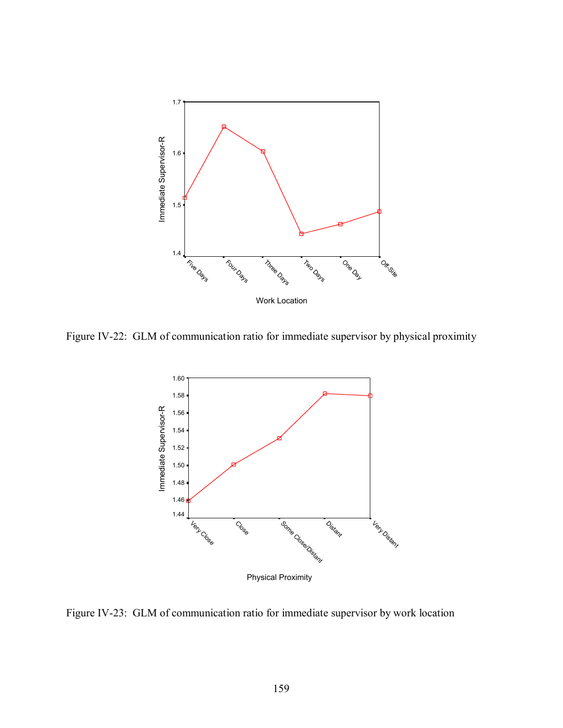

Figure IV-22: GLM of communication ratio for immediate supervisor by physical proximity



Figure IV-23: GLM of communication ratio for immediate supervisor by work location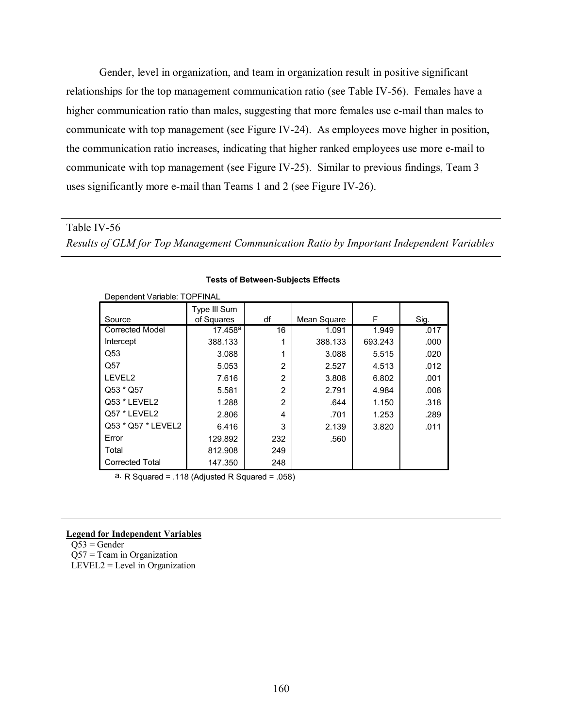Gender, level in organization, and team in organization result in positive significant relationships for the top management communication ratio (see Table IV-56). Females have a higher communication ratio than males, suggesting that more females use e-mail than males to communicate with top management (see Figure IV-24). As employees move higher in position, the communication ratio increases, indicating that higher ranked employees use more e-mail to communicate with top management (see Figure IV-25). Similar to previous findings, Team 3 uses significantly more e-mail than Teams 1 and 2 (see Figure IV-26).

Table IV-56 *Results of GLM for Top Management Communication Ratio by Important Independent Variables*

| Dependent Variable: TOPFINAL |                            |                |             |         |      |
|------------------------------|----------------------------|----------------|-------------|---------|------|
| Source                       | Type III Sum<br>of Squares | df             | Mean Square | F       | Sig. |
| <b>Corrected Model</b>       | 17.458a                    | 16             | 1.091       | 1.949   | .017 |
| Intercept                    | 388.133                    |                | 388.133     | 693.243 | .000 |
| Q53                          | 3.088                      |                | 3.088       | 5.515   | .020 |
| Q57                          | 5.053                      | $\overline{2}$ | 2.527       | 4.513   | .012 |
| LEVEL2                       | 7.616                      | $\overline{2}$ | 3.808       | 6.802   | .001 |
| Q53 * Q57                    | 5.581                      | $\overline{2}$ | 2.791       | 4.984   | .008 |
| <b>Q53 * LEVEL2</b>          | 1.288                      | $\overline{2}$ | .644        | 1.150   | .318 |
| Q57 * LEVEL2                 | 2.806                      | 4              | .701        | 1.253   | .289 |
| Q53 * Q57 * LEVEL2           | 6.416                      | 3              | 2.139       | 3.820   | .011 |
| Error                        | 129.892                    | 232            | .560        |         |      |
| Total                        | 812.908                    | 249            |             |         |      |
| <b>Corrected Total</b>       | 147.350                    | 248            |             |         |      |

#### **Tests of Between-Subjects Effects**

a. R Squared = .118 (Adjusted R Squared = .058)

#### **Legend for Independent Variables**

 $Q53 = \text{Gender}$ Q57 = Team in Organization  $LEVEL2 = Level in Organization$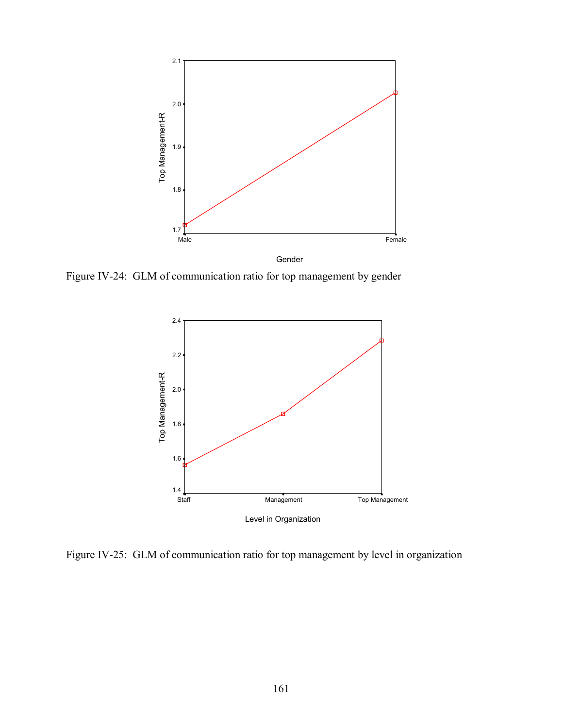

Figure IV-24: GLM of communication ratio for top management by gender



Figure IV-25: GLM of communication ratio for top management by level in organization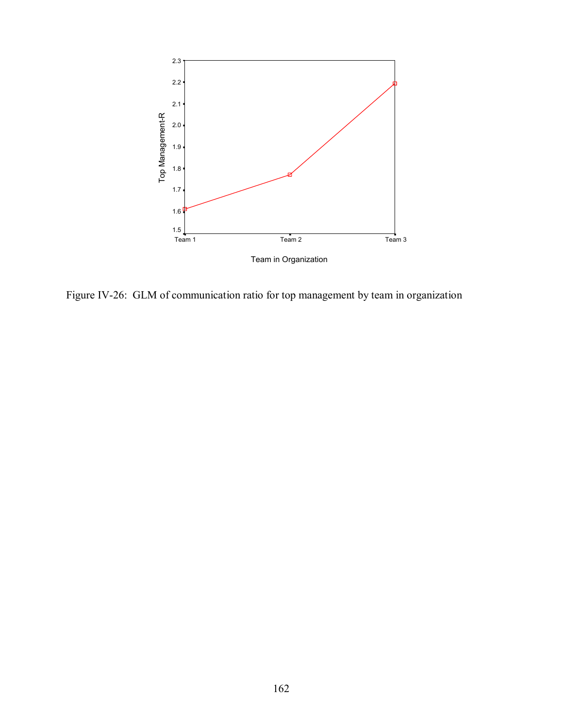

Figure IV-26: GLM of communication ratio for top management by team in organization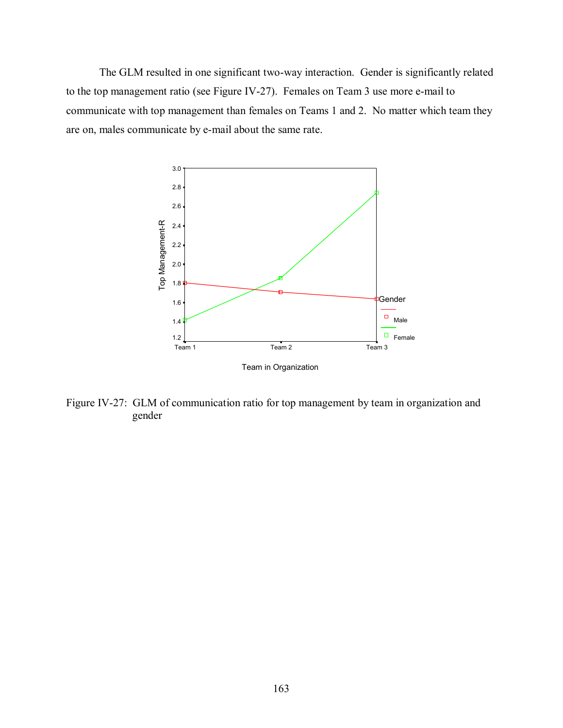The GLM resulted in one significant two-way interaction. Gender is significantly related to the top management ratio (see Figure IV-27). Females on Team 3 use more e-mail to communicate with top management than females on Teams 1 and 2. No matter which team they are on, males communicate by e-mail about the same rate.



Figure IV-27: GLM of communication ratio for top management by team in organization and gender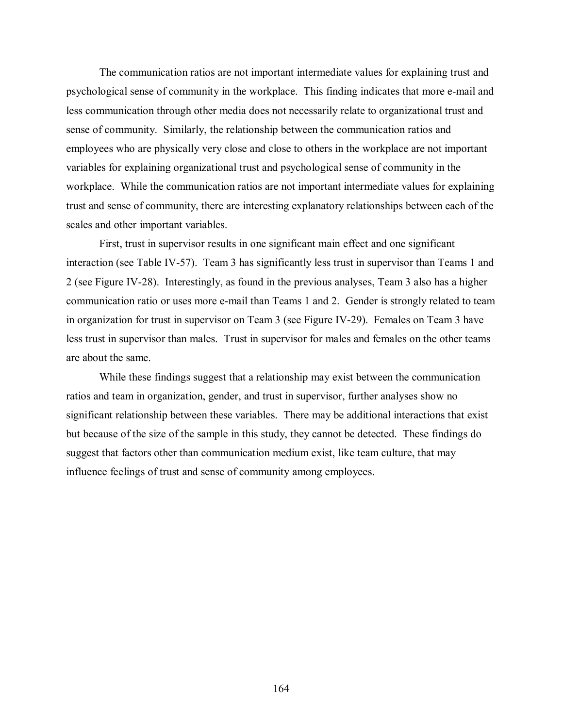The communication ratios are not important intermediate values for explaining trust and psychological sense of community in the workplace. This finding indicates that more e-mail and less communication through other media does not necessarily relate to organizational trust and sense of community. Similarly, the relationship between the communication ratios and employees who are physically very close and close to others in the workplace are not important variables for explaining organizational trust and psychological sense of community in the workplace. While the communication ratios are not important intermediate values for explaining trust and sense of community, there are interesting explanatory relationships between each of the scales and other important variables.

First, trust in supervisor results in one significant main effect and one significant interaction (see Table IV-57). Team 3 has significantly less trust in supervisor than Teams 1 and 2 (see Figure IV-28). Interestingly, as found in the previous analyses, Team 3 also has a higher communication ratio or uses more e-mail than Teams 1 and 2. Gender is strongly related to team in organization for trust in supervisor on Team 3 (see Figure IV-29). Females on Team 3 have less trust in supervisor than males. Trust in supervisor for males and females on the other teams are about the same.

While these findings suggest that a relationship may exist between the communication ratios and team in organization, gender, and trust in supervisor, further analyses show no significant relationship between these variables. There may be additional interactions that exist but because of the size of the sample in this study, they cannot be detected. These findings do suggest that factors other than communication medium exist, like team culture, that may influence feelings of trust and sense of community among employees.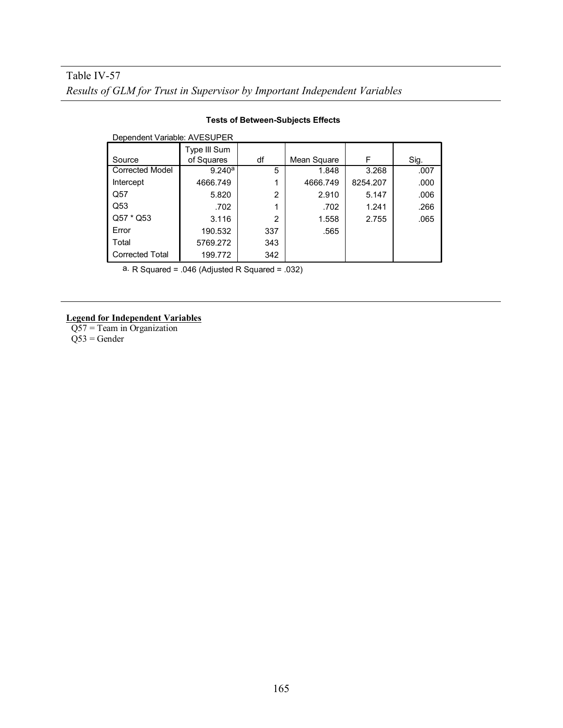| Dependent Variable: AVESUPER |              |     |             |          |      |
|------------------------------|--------------|-----|-------------|----------|------|
|                              | Type III Sum |     |             |          |      |
| Source                       | of Squares   | df  | Mean Square | F        | Sig. |
| <b>Corrected Model</b>       | 9.240a       | 5   | 1.848       | 3.268    | .007 |
| Intercept                    | 4666.749     |     | 4666.749    | 8254.207 | .000 |
| Q57                          | 5.820        | 2   | 2.910       | 5.147    | .006 |
| Q53                          | .702         |     | .702        | 1.241    | .266 |
| Q57 * Q53                    | 3.116        | 2   | 1.558       | 2.755    | .065 |
| Error                        | 190.532      | 337 | .565        |          |      |
| Total                        | 5769.272     | 343 |             |          |      |
| <b>Corrected Total</b>       | 199.772      | 342 |             |          |      |

### **Tests of Between-Subjects Effects**

a. R Squared = .046 (Adjusted R Squared = .032)

### **Legend for Independent Variables**

Q57 = Team in Organization Q53 = Gender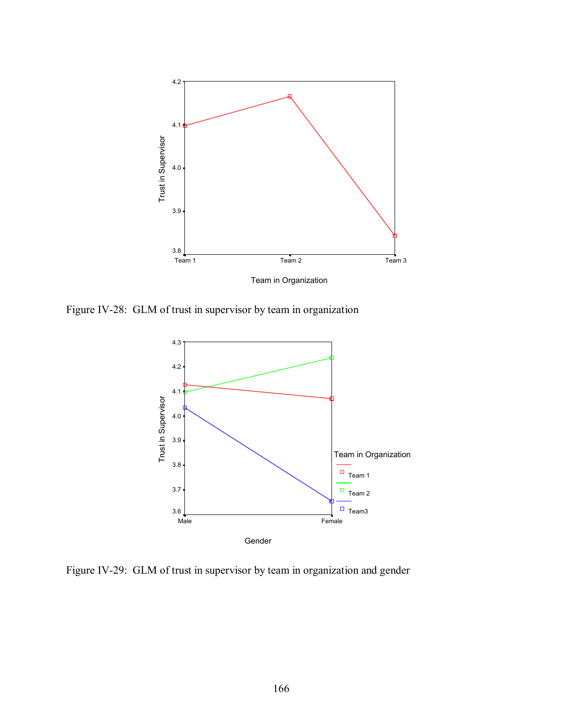

Figure IV-28: GLM of trust in supervisor by team in organization



Figure IV-29: GLM of trust in supervisor by team in organization and gender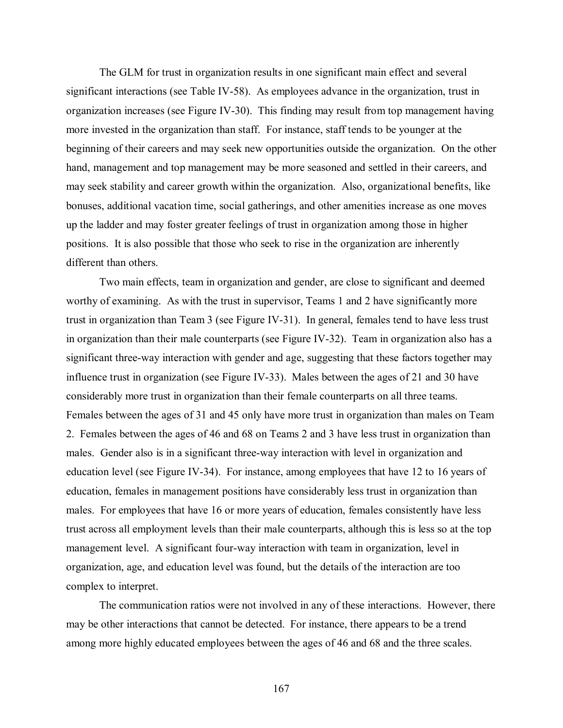The GLM for trust in organization results in one significant main effect and several significant interactions (see Table IV-58). As employees advance in the organization, trust in organization increases (see Figure IV-30). This finding may result from top management having more invested in the organization than staff. For instance, staff tends to be younger at the beginning of their careers and may seek new opportunities outside the organization. On the other hand, management and top management may be more seasoned and settled in their careers, and may seek stability and career growth within the organization. Also, organizational benefits, like bonuses, additional vacation time, social gatherings, and other amenities increase as one moves up the ladder and may foster greater feelings of trust in organization among those in higher positions. It is also possible that those who seek to rise in the organization are inherently different than others.

Two main effects, team in organization and gender, are close to significant and deemed worthy of examining. As with the trust in supervisor, Teams 1 and 2 have significantly more trust in organization than Team 3 (see Figure IV-31). In general, females tend to have less trust in organization than their male counterparts (see Figure IV-32). Team in organization also has a significant three-way interaction with gender and age, suggesting that these factors together may influence trust in organization (see Figure IV-33). Males between the ages of 21 and 30 have considerably more trust in organization than their female counterparts on all three teams. Females between the ages of 31 and 45 only have more trust in organization than males on Team 2. Females between the ages of 46 and 68 on Teams 2 and 3 have less trust in organization than males. Gender also is in a significant three-way interaction with level in organization and education level (see Figure IV-34). For instance, among employees that have 12 to 16 years of education, females in management positions have considerably less trust in organization than males. For employees that have 16 or more years of education, females consistently have less trust across all employment levels than their male counterparts, although this is less so at the top management level. A significant four-way interaction with team in organization, level in organization, age, and education level was found, but the details of the interaction are too complex to interpret.

The communication ratios were not involved in any of these interactions. However, there may be other interactions that cannot be detected. For instance, there appears to be a trend among more highly educated employees between the ages of 46 and 68 and the three scales.

167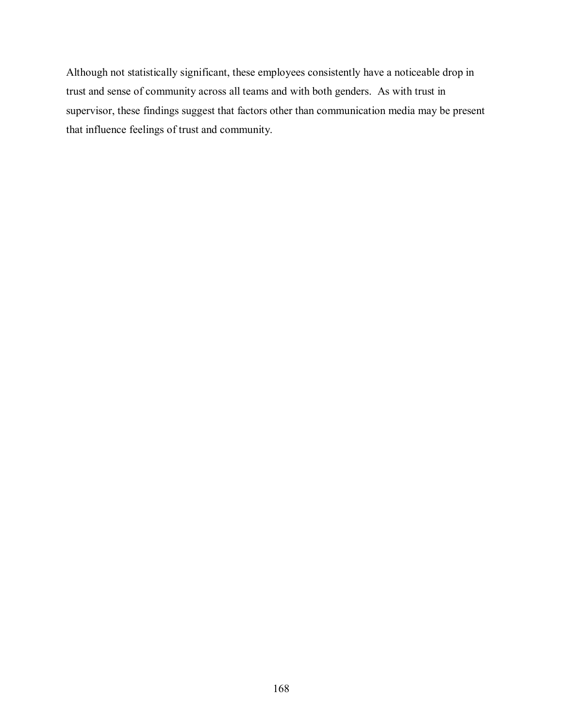Although not statistically significant, these employees consistently have a noticeable drop in trust and sense of community across all teams and with both genders. As with trust in supervisor, these findings suggest that factors other than communication media may be present that influence feelings of trust and community.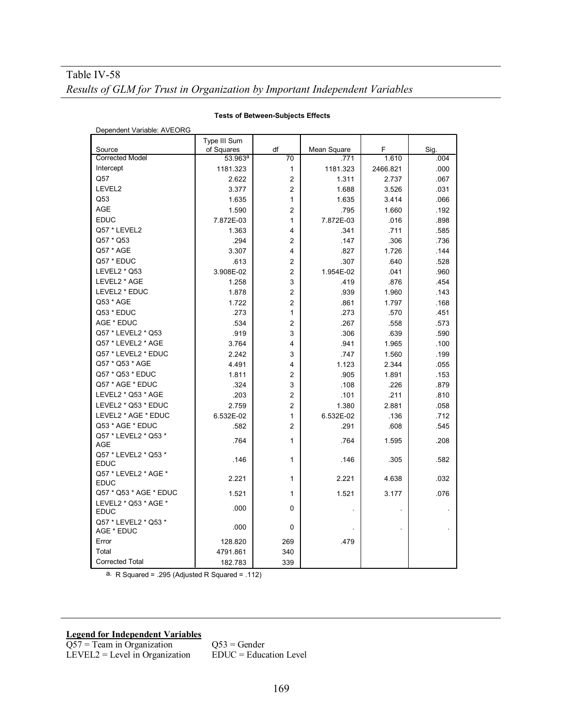| Dependent Variable: AVEORG          |                     |                |             |          |      |  |
|-------------------------------------|---------------------|----------------|-------------|----------|------|--|
|                                     | Type III Sum        |                |             |          |      |  |
| Source                              | of Squares          | df             | Mean Square | F        | Sig. |  |
| <b>Corrected Model</b>              | 53.963 <sup>a</sup> | 70             | 771         | 1.610    | .004 |  |
| Intercept                           | 1181.323            | $\mathbf{1}$   | 1181.323    | 2466.821 | .000 |  |
| Q57                                 | 2.622               | $\overline{2}$ | 1.311       | 2.737    | .067 |  |
| LEVEL2                              | 3.377               | $\overline{2}$ | 1.688       | 3.526    | .031 |  |
| Q53                                 | 1.635               | 1              | 1.635       | 3.414    | .066 |  |
| <b>AGE</b>                          | 1.590               | $\overline{2}$ | .795        | 1.660    | .192 |  |
| <b>EDUC</b>                         | 7.872E-03           | 1              | 7.872E-03   | .016     | .898 |  |
| Q57 * LEVEL2                        | 1.363               | 4              | .341        | .711     | .585 |  |
| Q57 * Q53                           | .294                | $\overline{2}$ | .147        | .306     | .736 |  |
| Q57 * AGE                           | 3.307               | 4              | .827        | 1.726    | .144 |  |
| Q57 * EDUC                          | .613                | $\overline{2}$ | .307        | .640     | .528 |  |
| LEVEL2 * Q53                        | 3.908E-02           | $\overline{2}$ | 1.954E-02   | .041     | .960 |  |
| LEVEL2 * AGE                        | 1.258               | 3              | .419        | .876     | .454 |  |
| LEVEL2 * EDUC                       | 1.878               | $\overline{2}$ | .939        | 1.960    | .143 |  |
| Q53 * AGE                           | 1.722               | $\overline{2}$ | .861        | 1.797    | .168 |  |
| Q53 * EDUC                          | .273                | 1              | .273        | .570     | .451 |  |
| AGE * EDUC                          | .534                | $\overline{2}$ | .267        | .558     | .573 |  |
| Q57 * LEVEL2 * Q53                  | .919                | 3              | .306        | .639     | .590 |  |
| Q57 * LEVEL2 * AGE                  | 3.764               | 4              | .941        | 1.965    | .100 |  |
| Q57 * LEVEL2 * EDUC                 | 2.242               | 3              | .747        | 1.560    | .199 |  |
| Q57 * Q53 * AGE                     | 4.491               | 4              | 1.123       | 2.344    | .055 |  |
| Q57 * Q53 * EDUC                    | 1.811               | $\overline{2}$ | .905        | 1.891    | .153 |  |
| Q57 * AGE * EDUC                    | .324                | 3              | .108        | .226     | .879 |  |
| LEVEL2 * Q53 * AGE                  | .203                | $\overline{2}$ | .101        | .211     | .810 |  |
| LEVEL2 * Q53 * EDUC                 | 2.759               | $\overline{2}$ | 1.380       | 2.881    | .058 |  |
| LEVEL2 * AGE * EDUC                 | 6.532E-02           | $\mathbf{1}$   | 6.532E-02   | .136     | .712 |  |
| Q53 * AGE * EDUC                    | .582                | $\overline{2}$ | .291        | .608     | .545 |  |
| Q57 * LEVEL2 * Q53 *                |                     | 1              |             |          |      |  |
| AGE                                 | .764                |                | .764        | 1.595    | .208 |  |
| Q57 * LEVEL2 * Q53 *                | .146                | 1              | .146        | .305     | .582 |  |
| <b>EDUC</b>                         |                     |                |             |          |      |  |
| Q57 * LEVEL2 * AGE *                | 2.221               | 1              | 2.221       | 4.638    | .032 |  |
| <b>EDUC</b>                         |                     |                |             |          |      |  |
| Q57 * Q53 * AGE * EDUC              | 1.521               | 1              | 1.521       | 3.177    | .076 |  |
| LEVEL2 * Q53 * AGE *<br><b>EDUC</b> | .000                | 0              |             |          |      |  |
| Q57 * LEVEL2 * Q53 *<br>AGE * EDUC  | .000                | 0              |             |          |      |  |
| Error                               | 128.820             | 269            | .479        |          |      |  |
| Total                               | 4791.861            | 340            |             |          |      |  |
| <b>Corrected Total</b>              | 182.783             | 339            |             |          |      |  |

#### **Tests of Between-Subjects Effects**

a. R Squared = .295 (Adjusted R Squared = .112)

### **Legend for Independent Variables**

 $Q57$  = Team in Organization  $Q53$  = Gender  $LEVEL2 = Level in Organization$   $EDUC = Education Level$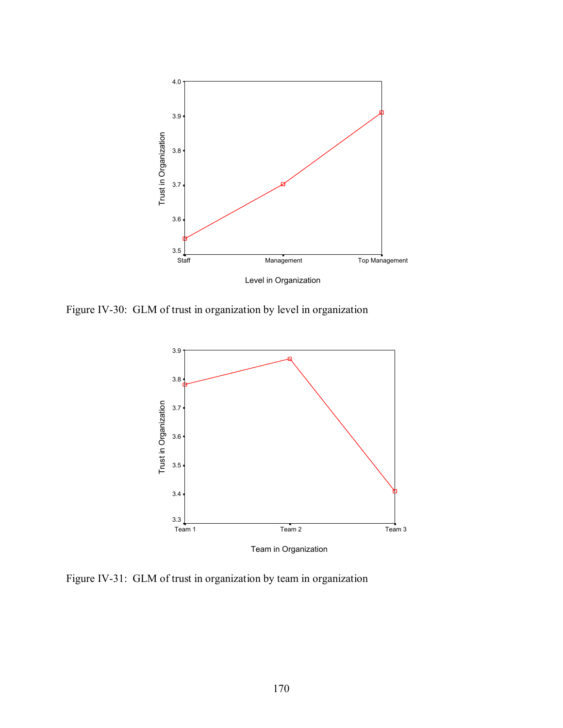

Figure IV-30: GLM of trust in organization by level in organization



Figure IV-31: GLM of trust in organization by team in organization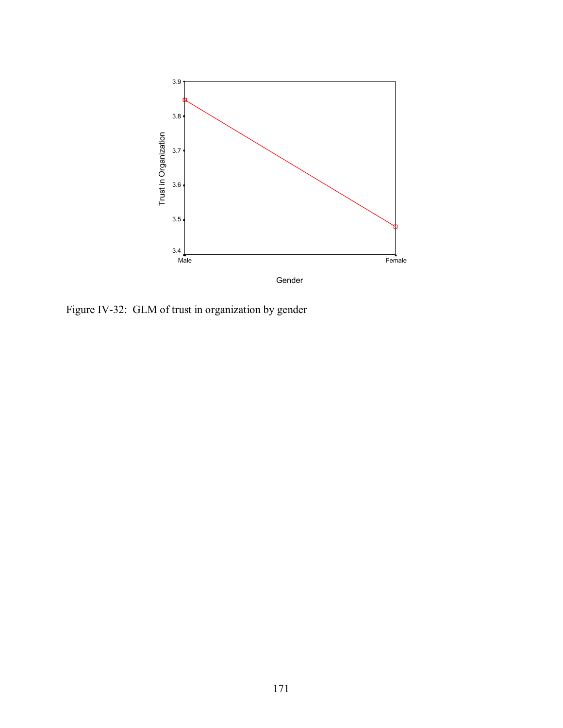

Figure IV-32: GLM of trust in organization by gender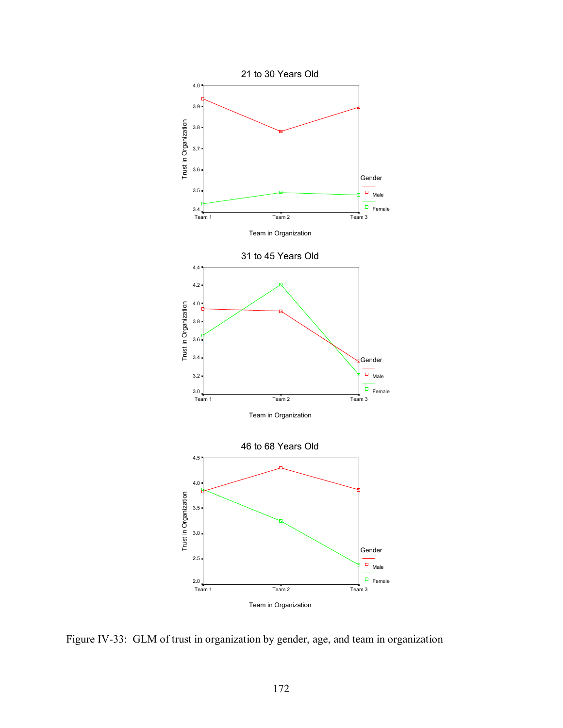

Figure IV-33: GLM of trust in organization by gender, age, and team in organization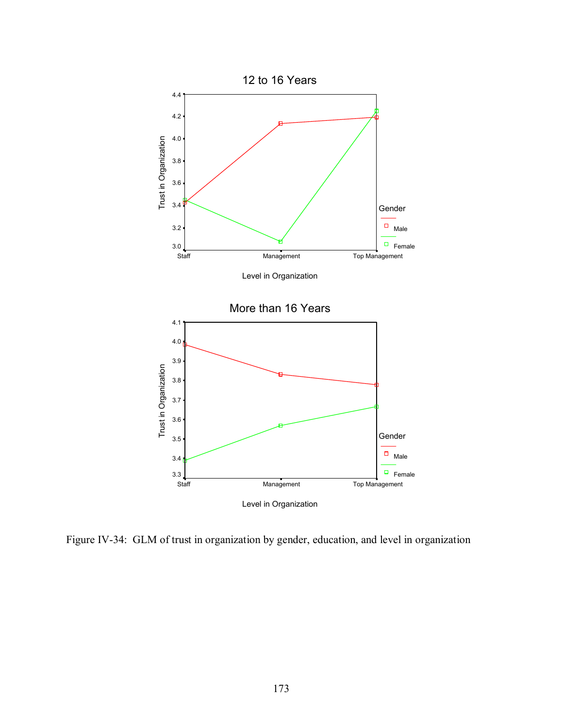

Figure IV-34: GLM of trust in organization by gender, education, and level in organization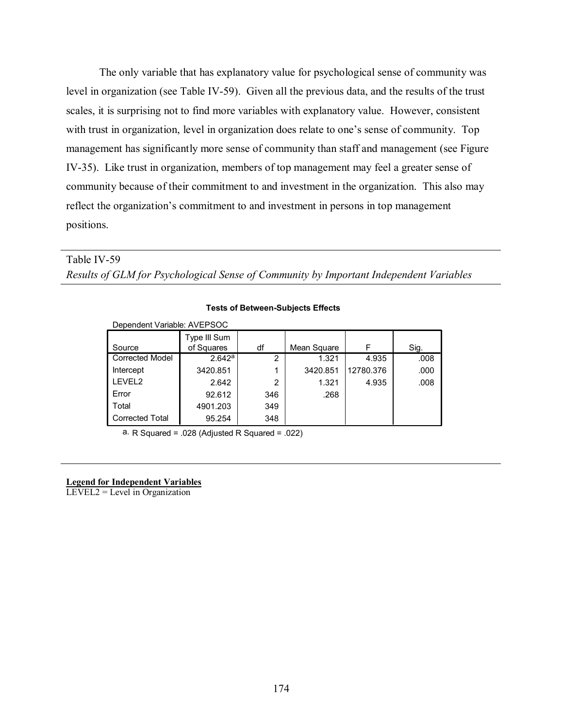The only variable that has explanatory value for psychological sense of community was level in organization (see Table IV-59). Given all the previous data, and the results of the trust scales, it is surprising not to find more variables with explanatory value. However, consistent with trust in organization, level in organization does relate to one's sense of community. Top management has significantly more sense of community than staff and management (see Figure IV-35). Like trust in organization, members of top management may feel a greater sense of community because of their commitment to and investment in the organization. This also may reflect the organization's commitment to and investment in persons in top management positions.

# Table IV-59

*Results of GLM for Psychological Sense of Community by Important Independent Variables* 

| Dependent Variable: AVEPSOC |              |     |             |           |      |
|-----------------------------|--------------|-----|-------------|-----------|------|
|                             | Type III Sum |     |             |           |      |
| Source                      | of Squares   | df  | Mean Square | F         | Sig. |
| <b>Corrected Model</b>      | 2.642a       | 2   | 1.321       | 4.935     | .008 |
| Intercept                   | 3420.851     | 1   | 3420.851    | 12780.376 | .000 |
| LEVEL2                      | 2.642        | 2   | 1.321       | 4.935     | .008 |
| Error                       | 92.612       | 346 | .268        |           |      |
| Total                       | 4901.203     | 349 |             |           |      |
| <b>Corrected Total</b>      | 95.254       | 348 |             |           |      |

#### **Tests of Between-Subjects Effects**

a. R Squared =  $.028$  (Adjusted R Squared =  $.022$ )

## **Legend for Independent Variables**

LEVEL2 = Level in Organization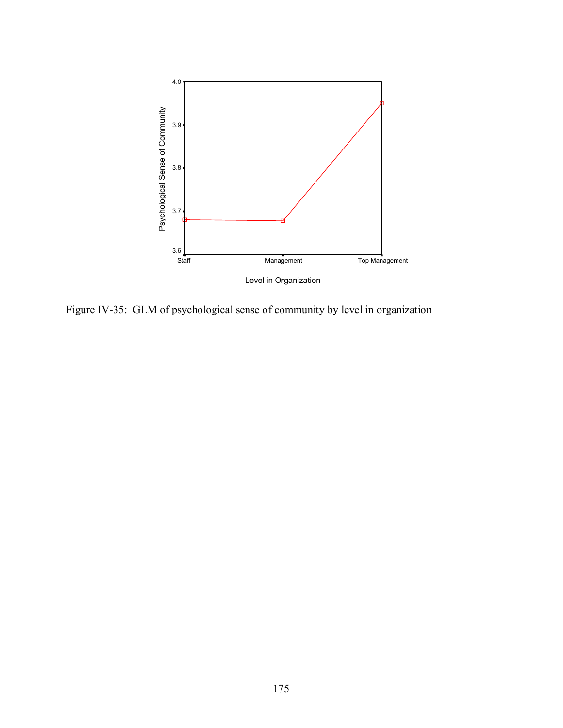

Figure IV-35: GLM of psychological sense of community by level in organization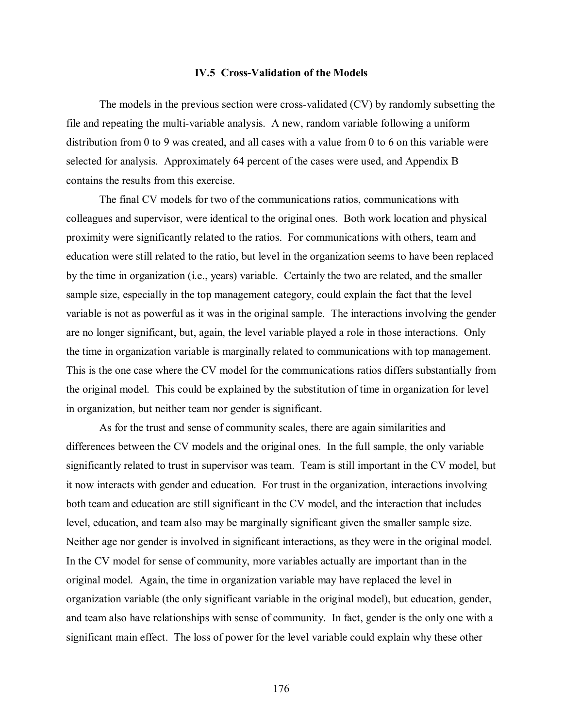#### **IV.5 Cross-Validation of the Models**

The models in the previous section were cross-validated (CV) by randomly subsetting the file and repeating the multi-variable analysis. A new, random variable following a uniform distribution from 0 to 9 was created, and all cases with a value from 0 to 6 on this variable were selected for analysis. Approximately 64 percent of the cases were used, and Appendix B contains the results from this exercise.

The final CV models for two of the communications ratios, communications with colleagues and supervisor, were identical to the original ones. Both work location and physical proximity were significantly related to the ratios. For communications with others, team and education were still related to the ratio, but level in the organization seems to have been replaced by the time in organization (i.e., years) variable. Certainly the two are related, and the smaller sample size, especially in the top management category, could explain the fact that the level variable is not as powerful as it was in the original sample. The interactions involving the gender are no longer significant, but, again, the level variable played a role in those interactions. Only the time in organization variable is marginally related to communications with top management. This is the one case where the CV model for the communications ratios differs substantially from the original model. This could be explained by the substitution of time in organization for level in organization, but neither team nor gender is significant.

As for the trust and sense of community scales, there are again similarities and differences between the CV models and the original ones. In the full sample, the only variable significantly related to trust in supervisor was team. Team is still important in the CV model, but it now interacts with gender and education. For trust in the organization, interactions involving both team and education are still significant in the CV model, and the interaction that includes level, education, and team also may be marginally significant given the smaller sample size. Neither age nor gender is involved in significant interactions, as they were in the original model. In the CV model for sense of community, more variables actually are important than in the original model. Again, the time in organization variable may have replaced the level in organization variable (the only significant variable in the original model), but education, gender, and team also have relationships with sense of community. In fact, gender is the only one with a significant main effect. The loss of power for the level variable could explain why these other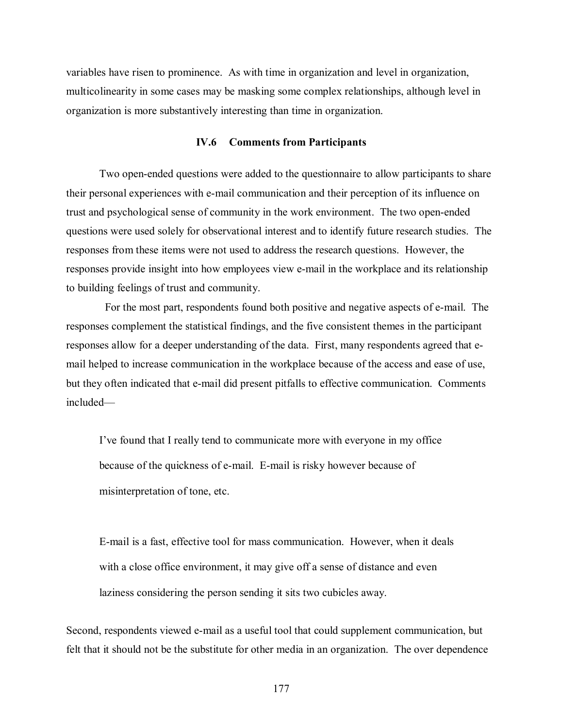variables have risen to prominence. As with time in organization and level in organization, multicolinearity in some cases may be masking some complex relationships, although level in organization is more substantively interesting than time in organization.

# **IV.6 Comments from Participants**

Two open-ended questions were added to the questionnaire to allow participants to share their personal experiences with e-mail communication and their perception of its influence on trust and psychological sense of community in the work environment. The two open-ended questions were used solely for observational interest and to identify future research studies. The responses from these items were not used to address the research questions. However, the responses provide insight into how employees view e-mail in the workplace and its relationship to building feelings of trust and community.

 For the most part, respondents found both positive and negative aspects of e-mail. The responses complement the statistical findings, and the five consistent themes in the participant responses allow for a deeper understanding of the data. First, many respondents agreed that email helped to increase communication in the workplace because of the access and ease of use, but they often indicated that e-mail did present pitfalls to effective communication. Comments included—

I've found that I really tend to communicate more with everyone in my office because of the quickness of e-mail. E-mail is risky however because of misinterpretation of tone, etc.

E-mail is a fast, effective tool for mass communication. However, when it deals with a close office environment, it may give off a sense of distance and even laziness considering the person sending it sits two cubicles away.

Second, respondents viewed e-mail as a useful tool that could supplement communication, but felt that it should not be the substitute for other media in an organization. The over dependence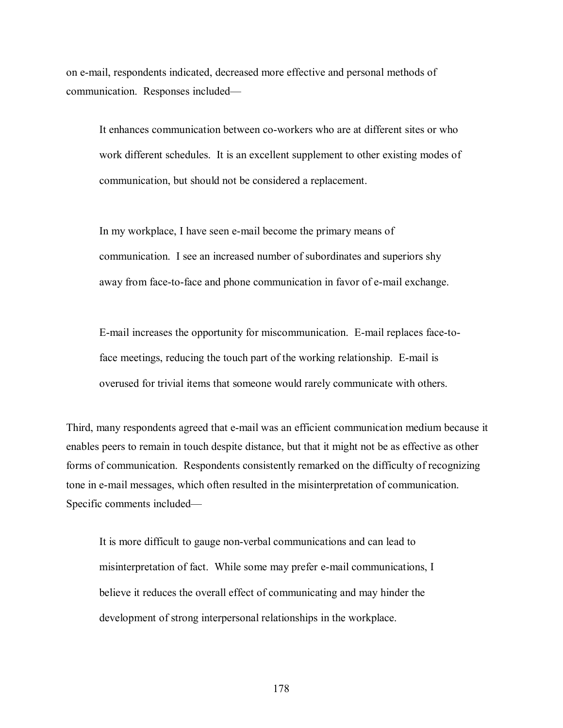on e-mail, respondents indicated, decreased more effective and personal methods of communication. Responses included—

It enhances communication between co-workers who are at different sites or who work different schedules. It is an excellent supplement to other existing modes of communication, but should not be considered a replacement.

In my workplace, I have seen e-mail become the primary means of communication. I see an increased number of subordinates and superiors shy away from face-to-face and phone communication in favor of e-mail exchange.

E-mail increases the opportunity for miscommunication. E-mail replaces face-toface meetings, reducing the touch part of the working relationship. E-mail is overused for trivial items that someone would rarely communicate with others.

Third, many respondents agreed that e-mail was an efficient communication medium because it enables peers to remain in touch despite distance, but that it might not be as effective as other forms of communication. Respondents consistently remarked on the difficulty of recognizing tone in e-mail messages, which often resulted in the misinterpretation of communication. Specific comments included—

It is more difficult to gauge non-verbal communications and can lead to misinterpretation of fact. While some may prefer e-mail communications, I believe it reduces the overall effect of communicating and may hinder the development of strong interpersonal relationships in the workplace.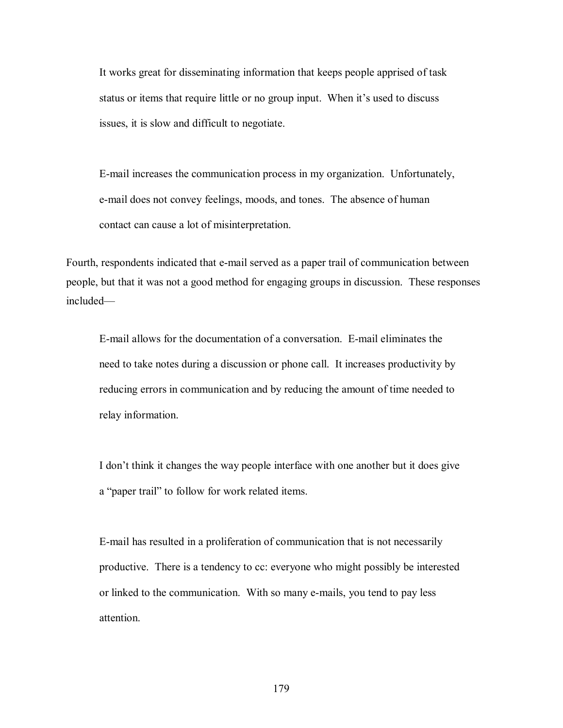It works great for disseminating information that keeps people apprised of task status or items that require little or no group input. When it's used to discuss issues, it is slow and difficult to negotiate.

E-mail increases the communication process in my organization. Unfortunately, e-mail does not convey feelings, moods, and tones. The absence of human contact can cause a lot of misinterpretation.

Fourth, respondents indicated that e-mail served as a paper trail of communication between people, but that it was not a good method for engaging groups in discussion. These responses included—

E-mail allows for the documentation of a conversation. E-mail eliminates the need to take notes during a discussion or phone call. It increases productivity by reducing errors in communication and by reducing the amount of time needed to relay information.

I don't think it changes the way people interface with one another but it does give a "paper trail" to follow for work related items.

E-mail has resulted in a proliferation of communication that is not necessarily productive. There is a tendency to cc: everyone who might possibly be interested or linked to the communication. With so many e-mails, you tend to pay less attention.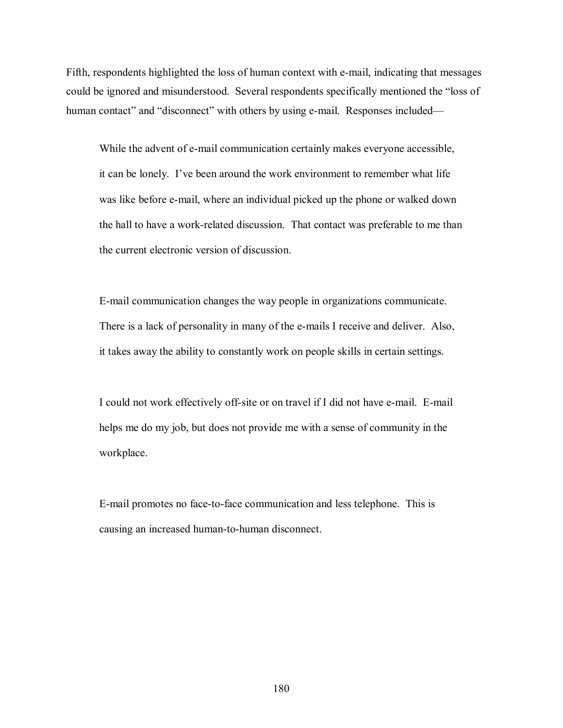Fifth, respondents highlighted the loss of human context with e-mail, indicating that messages could be ignored and misunderstood. Several respondents specifically mentioned the "loss of human contact" and "disconnect" with others by using e-mail. Responses included—

While the advent of e-mail communication certainly makes everyone accessible, it can be lonely. I've been around the work environment to remember what life was like before e-mail, where an individual picked up the phone or walked down the hall to have a work-related discussion. That contact was preferable to me than the current electronic version of discussion.

E-mail communication changes the way people in organizations communicate. There is a lack of personality in many of the e-mails I receive and deliver. Also, it takes away the ability to constantly work on people skills in certain settings.

I could not work effectively off-site or on travel if I did not have e-mail. E-mail helps me do my job, but does not provide me with a sense of community in the workplace.

E-mail promotes no face-to-face communication and less telephone. This is causing an increased human-to-human disconnect.